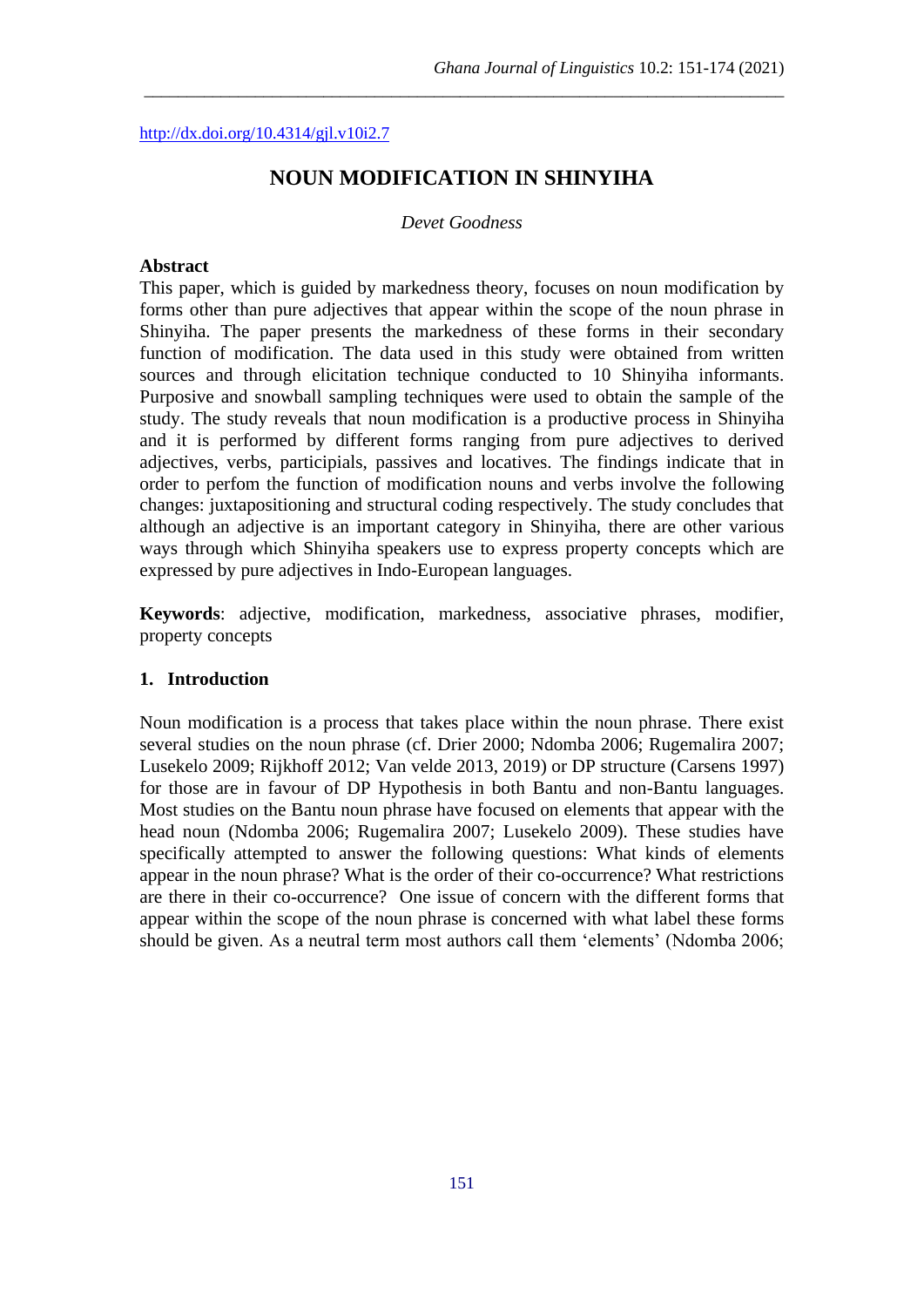<http://dx.doi.org/10.4314/gjl.v10i2.7>

# **NOUN MODIFICATION IN SHINYIHA**

\_\_\_\_\_\_\_\_\_\_\_\_\_\_\_\_\_\_\_\_\_\_\_\_\_\_\_\_\_\_\_\_\_\_\_\_\_\_\_\_\_\_\_\_\_\_\_\_\_\_\_\_\_\_\_\_\_\_\_\_\_\_\_\_\_\_\_\_\_\_\_\_\_\_\_

#### *Devet Goodness*

#### **Abstract**

This paper, which is guided by markedness theory, focuses on noun modification by forms other than pure adjectives that appear within the scope of the noun phrase in Shinyiha. The paper presents the markedness of these forms in their secondary function of modification. The data used in this study were obtained from written sources and through elicitation technique conducted to 10 Shinyiha informants. Purposive and snowball sampling techniques were used to obtain the sample of the study. The study reveals that noun modification is a productive process in Shinyiha and it is performed by different forms ranging from pure adjectives to derived adjectives, verbs, participials, passives and locatives. The findings indicate that in order to perfom the function of modification nouns and verbs involve the following changes: juxtapositioning and structural coding respectively. The study concludes that although an adjective is an important category in Shinyiha, there are other various ways through which Shinyiha speakers use to express property concepts which are expressed by pure adjectives in Indo-European languages.

**Keywords**: adjective, modification, markedness, associative phrases, modifier, property concepts

#### **1. Introduction**

Noun modification is a process that takes place within the noun phrase. There exist several studies on the noun phrase (cf. Drier 2000; Ndomba 2006; Rugemalira 2007; Lusekelo 2009; Rijkhoff 2012; Van velde 2013, 2019) or DP structure (Carsens 1997) for those are in favour of DP Hypothesis in both Bantu and non-Bantu languages. Most studies on the Bantu noun phrase have focused on elements that appear with the head noun (Ndomba 2006; Rugemalira 2007; Lusekelo 2009). These studies have specifically attempted to answer the following questions: What kinds of elements appear in the noun phrase? What is the order of their co-occurrence? What restrictions are there in their co-occurrence? One issue of concern with the different forms that appear within the scope of the noun phrase is concerned with what label these forms should be given. As a neutral term most authors call them 'elements' (Ndomba 2006;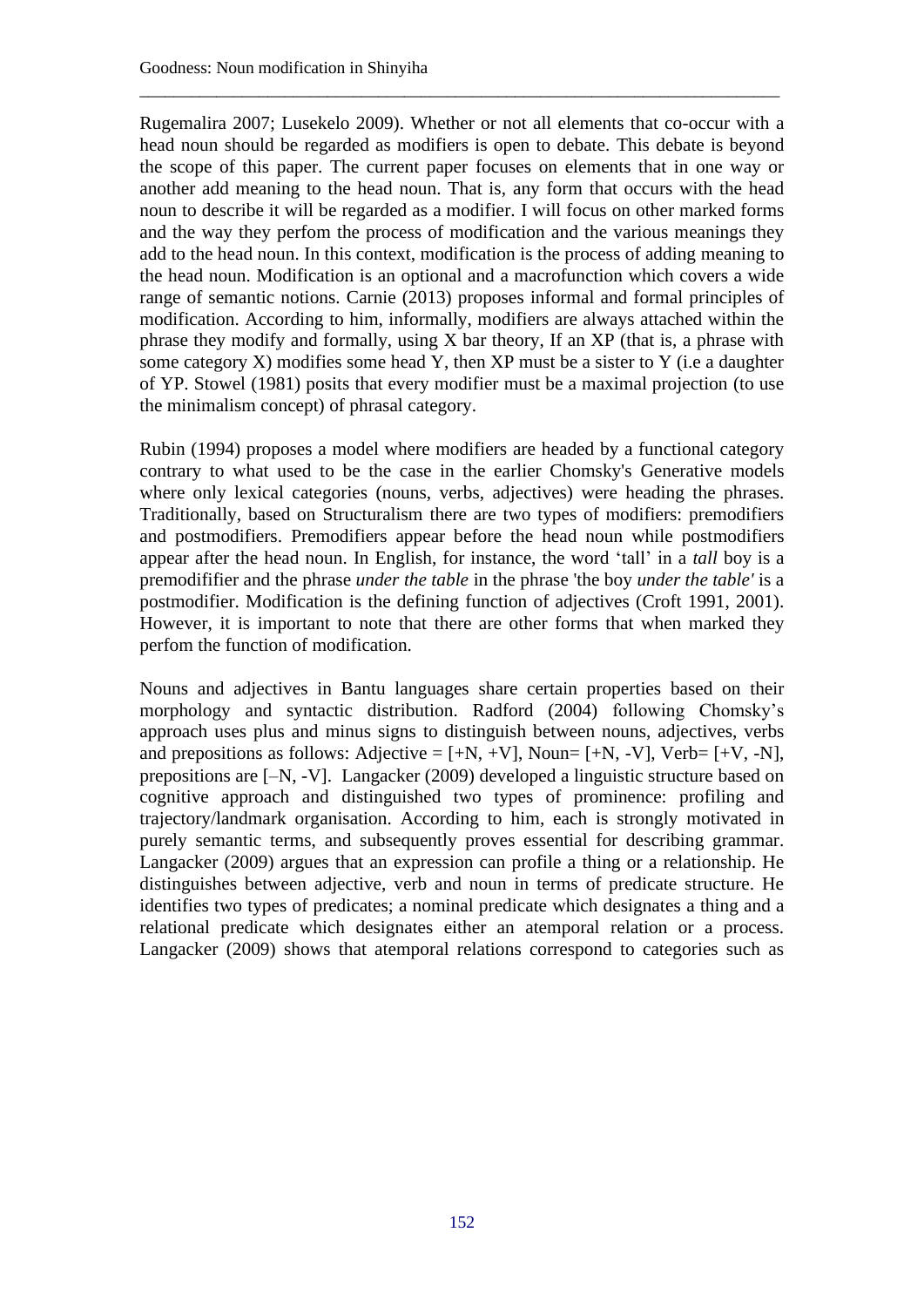Rugemalira 2007; Lusekelo 2009). Whether or not all elements that co-occur with a head noun should be regarded as modifiers is open to debate. This debate is beyond the scope of this paper. The current paper focuses on elements that in one way or another add meaning to the head noun. That is, any form that occurs with the head noun to describe it will be regarded as a modifier. I will focus on other marked forms and the way they perfom the process of modification and the various meanings they add to the head noun. In this context, modification is the process of adding meaning to the head noun. Modification is an optional and a macrofunction which covers a wide range of semantic notions. Carnie (2013) proposes informal and formal principles of modification. According to him, informally, modifiers are always attached within the phrase they modify and formally, using X bar theory, If an XP (that is, a phrase with some category  $X$ ) modifies some head  $Y$ , then  $XP$  must be a sister to  $Y$  (i.e a daughter of YP. Stowel (1981) posits that every modifier must be a maximal projection (to use the minimalism concept) of phrasal category.

\_\_\_\_\_\_\_\_\_\_\_\_\_\_\_\_\_\_\_\_\_\_\_\_\_\_\_\_\_\_\_\_\_\_\_\_\_\_\_\_\_\_\_\_\_\_\_\_\_\_\_\_\_\_\_\_\_\_\_\_\_\_\_\_\_\_\_\_\_\_\_\_\_\_\_

Rubin (1994) proposes a model where modifiers are headed by a functional category contrary to what used to be the case in the earlier Chomsky's Generative models where only lexical categories (nouns, verbs, adjectives) were heading the phrases. Traditionally, based on Structuralism there are two types of modifiers: premodifiers and postmodifiers. Premodifiers appear before the head noun while postmodifiers appear after the head noun. In English, for instance, the word 'tall' in a *tall* boy is a premodififier and the phrase *under the table* in the phrase 'the boy *under the table'* is a postmodifier. Modification is the defining function of adjectives (Croft 1991, 2001). However, it is important to note that there are other forms that when marked they perfom the function of modification.

Nouns and adjectives in Bantu languages share certain properties based on their morphology and syntactic distribution. Radford (2004) following Chomsky's approach uses plus and minus signs to distinguish between nouns, adjectives, verbs and prepositions as follows: Adjective =  $[+N, +V]$ , Noun=  $[+N, -V]$ , Verb=  $[+V, -N]$ , prepositions are [–N, -V]. Langacker (2009) developed a linguistic structure based on cognitive approach and distinguished two types of prominence: profiling and trajectory/landmark organisation. According to him, each is strongly motivated in purely semantic terms, and subsequently proves essential for describing grammar. Langacker (2009) argues that an expression can profile a thing or a relationship. He distinguishes between adjective, verb and noun in terms of predicate structure. He identifies two types of predicates; a nominal predicate which designates a thing and a relational predicate which designates either an atemporal relation or a process. Langacker (2009) shows that atemporal relations correspond to categories such as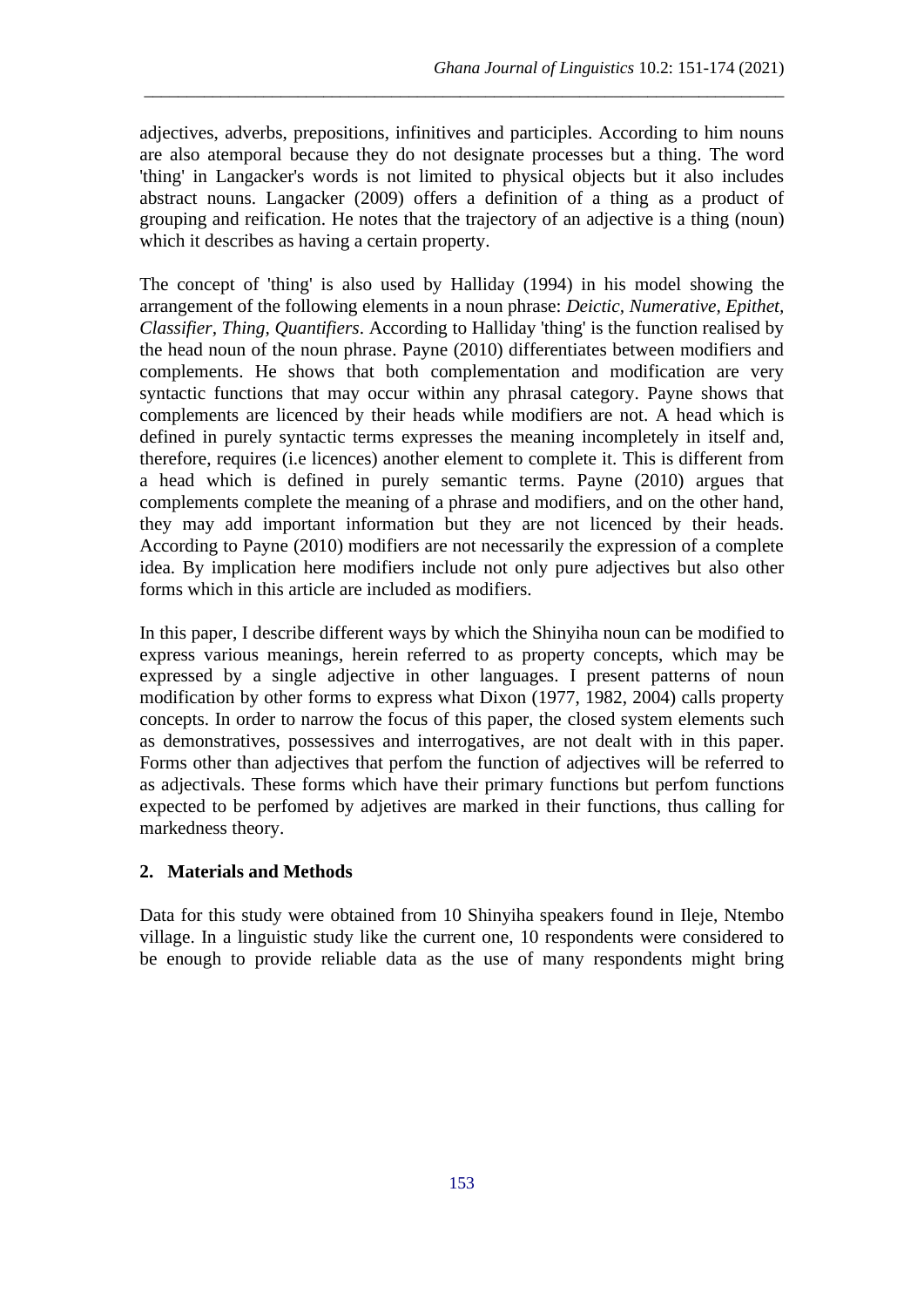adjectives, adverbs, prepositions, infinitives and participles. According to him nouns are also atemporal because they do not designate processes but a thing. The word 'thing' in Langacker's words is not limited to physical objects but it also includes abstract nouns. Langacker (2009) offers a definition of a thing as a product of grouping and reification. He notes that the trajectory of an adjective is a thing (noun) which it describes as having a certain property.

\_\_\_\_\_\_\_\_\_\_\_\_\_\_\_\_\_\_\_\_\_\_\_\_\_\_\_\_\_\_\_\_\_\_\_\_\_\_\_\_\_\_\_\_\_\_\_\_\_\_\_\_\_\_\_\_\_\_\_\_\_\_\_\_\_\_\_\_\_\_\_\_\_\_\_

The concept of 'thing' is also used by Halliday (1994) in his model showing the arrangement of the following elements in a noun phrase: *Deictic, Numerative, Epithet, Classifier, Thing, Quantifiers*. According to Halliday 'thing' is the function realised by the head noun of the noun phrase. Payne (2010) differentiates between modifiers and complements. He shows that both complementation and modification are very syntactic functions that may occur within any phrasal category. Payne shows that complements are licenced by their heads while modifiers are not. A head which is defined in purely syntactic terms expresses the meaning incompletely in itself and, therefore, requires (i.e licences) another element to complete it. This is different from a head which is defined in purely semantic terms. Payne (2010) argues that complements complete the meaning of a phrase and modifiers, and on the other hand, they may add important information but they are not licenced by their heads. According to Payne (2010) modifiers are not necessarily the expression of a complete idea. By implication here modifiers include not only pure adjectives but also other forms which in this article are included as modifiers.

In this paper, I describe different ways by which the Shinyiha noun can be modified to express various meanings, herein referred to as property concepts, which may be expressed by a single adjective in other languages. I present patterns of noun modification by other forms to express what Dixon (1977, 1982, 2004) calls property concepts. In order to narrow the focus of this paper, the closed system elements such as demonstratives, possessives and interrogatives, are not dealt with in this paper. Forms other than adjectives that perfom the function of adjectives will be referred to as adjectivals. These forms which have their primary functions but perfom functions expected to be perfomed by adjetives are marked in their functions, thus calling for markedness theory.

# **2. Materials and Methods**

Data for this study were obtained from 10 Shinyiha speakers found in Ileje, Ntembo village. In a linguistic study like the current one, 10 respondents were considered to be enough to provide reliable data as the use of many respondents might bring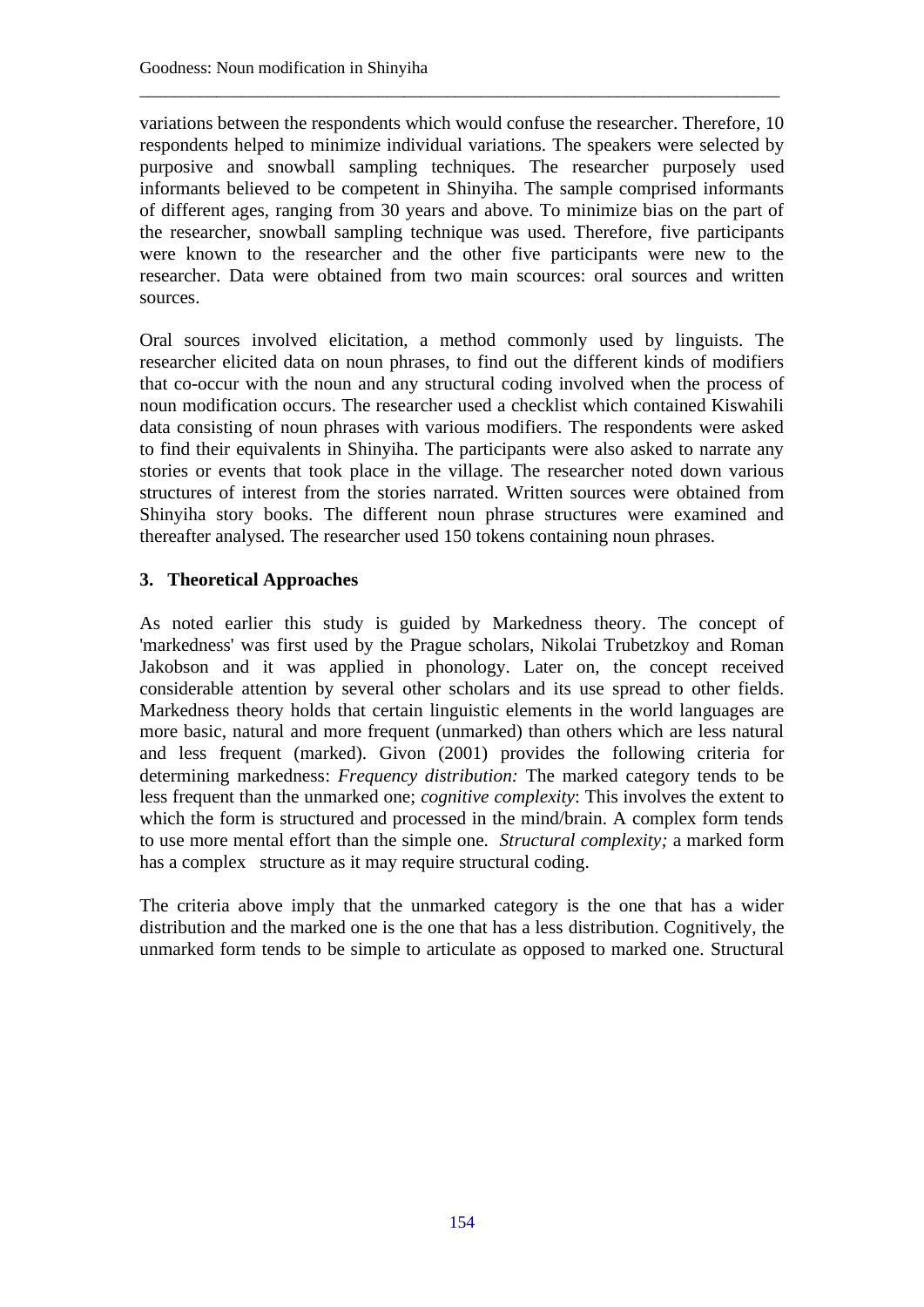variations between the respondents which would confuse the researcher. Therefore, 10 respondents helped to minimize individual variations. The speakers were selected by purposive and snowball sampling techniques. The researcher purposely used informants believed to be competent in Shinyiha. The sample comprised informants of different ages, ranging from 30 years and above. To minimize bias on the part of the researcher, snowball sampling technique was used. Therefore, five participants were known to the researcher and the other five participants were new to the researcher. Data were obtained from two main scources: oral sources and written sources.

\_\_\_\_\_\_\_\_\_\_\_\_\_\_\_\_\_\_\_\_\_\_\_\_\_\_\_\_\_\_\_\_\_\_\_\_\_\_\_\_\_\_\_\_\_\_\_\_\_\_\_\_\_\_\_\_\_\_\_\_\_\_\_\_\_\_\_\_\_\_\_\_\_\_\_

Oral sources involved elicitation, a method commonly used by linguists. The researcher elicited data on noun phrases, to find out the different kinds of modifiers that co-occur with the noun and any structural coding involved when the process of noun modification occurs. The researcher used a checklist which contained Kiswahili data consisting of noun phrases with various modifiers. The respondents were asked to find their equivalents in Shinyiha. The participants were also asked to narrate any stories or events that took place in the village. The researcher noted down various structures of interest from the stories narrated. Written sources were obtained from Shinyiha story books. The different noun phrase structures were examined and thereafter analysed. The researcher used 150 tokens containing noun phrases.

# **3. Theoretical Approaches**

As noted earlier this study is guided by Markedness theory. The concept of 'markedness' was first used by the Prague scholars, Nikolai Trubetzkoy and Roman Jakobson and it was applied in phonology. Later on, the concept received considerable attention by several other scholars and its use spread to other fields. Markedness theory holds that certain linguistic elements in the world languages are more basic, natural and more frequent (unmarked) than others which are less natural and less frequent (marked). Givon (2001) provides the following criteria for determining markedness: *Frequency distribution:* The marked category tends to be less frequent than the unmarked one; *cognitive complexity*: This involves the extent to which the form is structured and processed in the mind/brain. A complex form tends to use more mental effort than the simple one. *Structural complexity;* a marked form has a complex structure as it may require structural coding.

The criteria above imply that the unmarked category is the one that has a wider distribution and the marked one is the one that has a less distribution. Cognitively, the unmarked form tends to be simple to articulate as opposed to marked one. Structural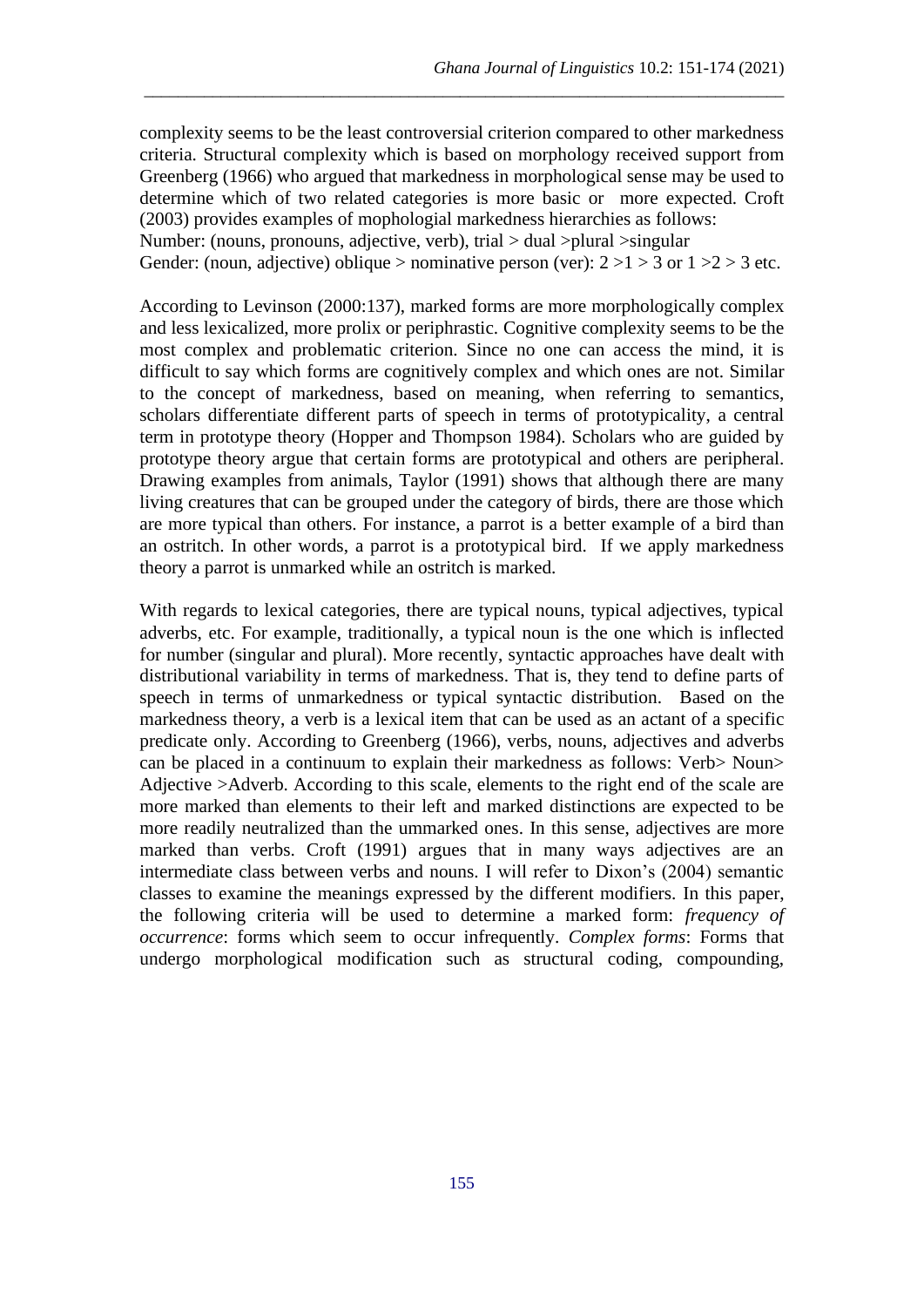complexity seems to be the least controversial criterion compared to other markedness criteria. Structural complexity which is based on morphology received support from Greenberg (1966) who argued that markedness in morphological sense may be used to determine which of two related categories is more basic or more expected. Croft (2003) provides examples of mophologial markedness hierarchies as follows: Number: (nouns, pronouns, adjective, verb), trial > dual >plural >singular

\_\_\_\_\_\_\_\_\_\_\_\_\_\_\_\_\_\_\_\_\_\_\_\_\_\_\_\_\_\_\_\_\_\_\_\_\_\_\_\_\_\_\_\_\_\_\_\_\_\_\_\_\_\_\_\_\_\_\_\_\_\_\_\_\_\_\_\_\_\_\_\_\_\_\_

Gender: (noun, adjective) oblique > nominative person (ver):  $2 > 1 > 3$  or  $1 > 2 > 3$  etc.

According to Levinson (2000:137), marked forms are more morphologically complex and less lexicalized, more prolix or periphrastic. Cognitive complexity seems to be the most complex and problematic criterion. Since no one can access the mind, it is difficult to say which forms are cognitively complex and which ones are not. Similar to the concept of markedness, based on meaning, when referring to semantics, scholars differentiate different parts of speech in terms of prototypicality, a central term in prototype theory (Hopper and Thompson 1984). Scholars who are guided by prototype theory argue that certain forms are prototypical and others are peripheral. Drawing examples from animals, Taylor (1991) shows that although there are many living creatures that can be grouped under the category of birds, there are those which are more typical than others. For instance, a parrot is a better example of a bird than an ostritch. In other words, a parrot is a prototypical bird. If we apply markedness theory a parrot is unmarked while an ostritch is marked.

With regards to lexical categories, there are typical nouns, typical adjectives, typical adverbs, etc. For example, traditionally, a typical noun is the one which is inflected for number (singular and plural). More recently, syntactic approaches have dealt with distributional variability in terms of markedness. That is, they tend to define parts of speech in terms of unmarkedness or typical syntactic distribution. Based on the markedness theory, a verb is a lexical item that can be used as an actant of a specific predicate only. According to Greenberg (1966), verbs, nouns, adjectives and adverbs can be placed in a continuum to explain their markedness as follows: Verb> Noun> Adjective >Adverb. According to this scale, elements to the right end of the scale are more marked than elements to their left and marked distinctions are expected to be more readily neutralized than the ummarked ones. In this sense, adjectives are more marked than verbs. Croft (1991) argues that in many ways adjectives are an intermediate class between verbs and nouns. I will refer to Dixon's (2004) semantic classes to examine the meanings expressed by the different modifiers. In this paper, the following criteria will be used to determine a marked form: *frequency of occurrence*: forms which seem to occur infrequently. *Complex forms*: Forms that undergo morphological modification such as structural coding, compounding,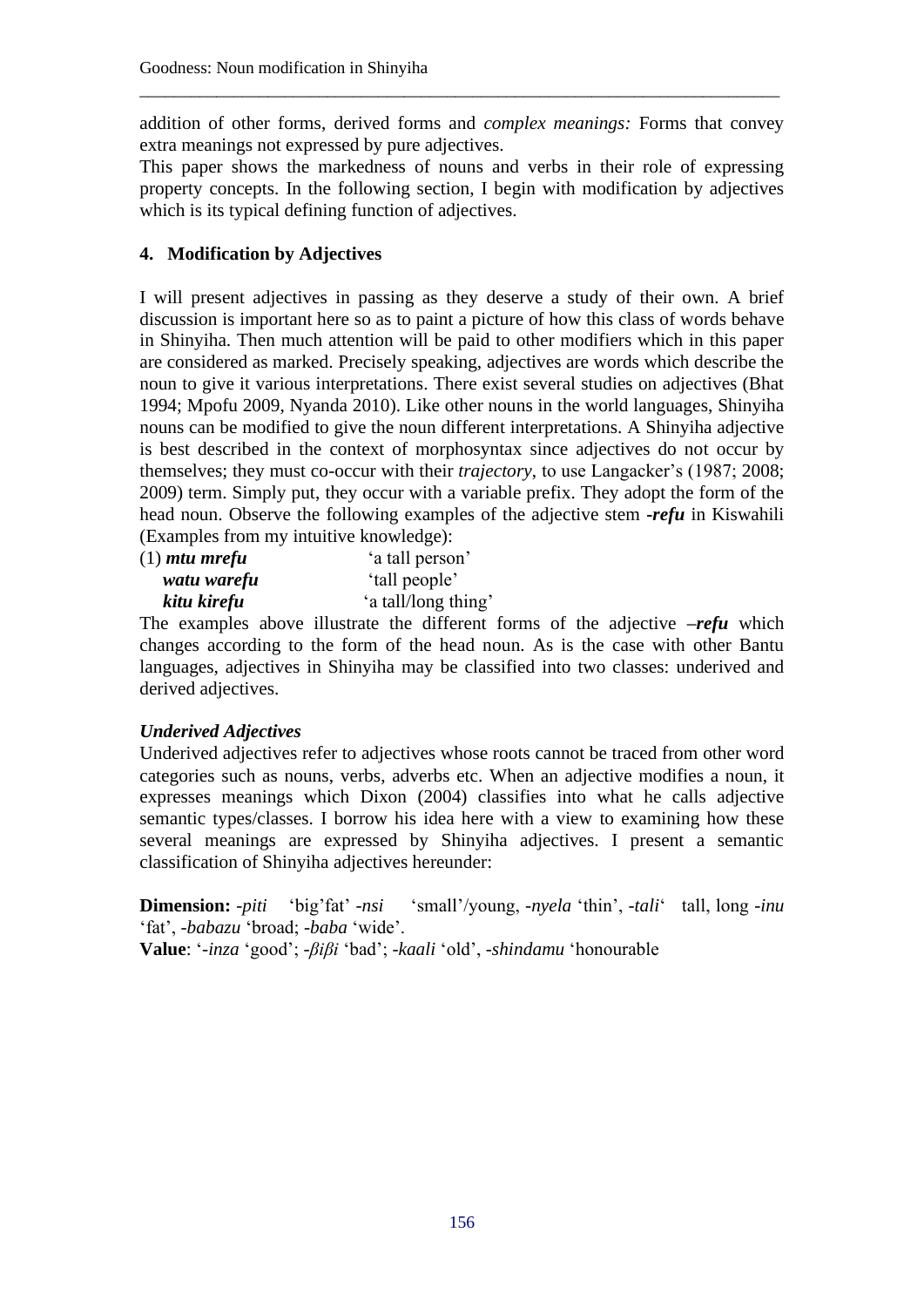addition of other forms, derived forms and *complex meanings:* Forms that convey extra meanings not expressed by pure adjectives.

\_\_\_\_\_\_\_\_\_\_\_\_\_\_\_\_\_\_\_\_\_\_\_\_\_\_\_\_\_\_\_\_\_\_\_\_\_\_\_\_\_\_\_\_\_\_\_\_\_\_\_\_\_\_\_\_\_\_\_\_\_\_\_\_\_\_\_\_\_\_\_\_\_\_\_

This paper shows the markedness of nouns and verbs in their role of expressing property concepts. In the following section, I begin with modification by adjectives which is its typical defining function of adjectives.

# **4. Modification by Adjectives**

I will present adjectives in passing as they deserve a study of their own. A brief discussion is important here so as to paint a picture of how this class of words behave in Shinyiha. Then much attention will be paid to other modifiers which in this paper are considered as marked. Precisely speaking, adjectives are words which describe the noun to give it various interpretations. There exist several studies on adjectives (Bhat 1994; Mpofu 2009, Nyanda 2010). Like other nouns in the world languages, Shinyiha nouns can be modified to give the noun different interpretations. A Shinyiha adjective is best described in the context of morphosyntax since adjectives do not occur by themselves; they must co-occur with their *trajectory*, to use Langacker's (1987; 2008; 2009) term. Simply put, they occur with a variable prefix. They adopt the form of the head noun. Observe the following examples of the adjective stem **-***refu* in Kiswahili (Examples from my intuitive knowledge):

| $(1)$ mtu mrefu | 'a tall person'     |
|-----------------|---------------------|
| watu warefu     | 'tall people'       |
| kitu kirefu     | 'a tall/long thing' |

The examples above illustrate the different forms of the adjective **–***refu* which changes according to the form of the head noun. As is the case with other Bantu languages, adjectives in Shinyiha may be classified into two classes: underived and derived adjectives.

# *Underived Adjectives*

Underived adjectives refer to adjectives whose roots cannot be traced from other word categories such as nouns, verbs, adverbs etc. When an adjective modifies a noun, it expresses meanings which Dixon (2004) classifies into what he calls adjective semantic types/classes. I borrow his idea here with a view to examining how these several meanings are expressed by Shinyiha adjectives. I present a semantic classification of Shinyiha adjectives hereunder:

**Dimension:** -*piti* 'big'fat' -*nsi* 'small'/young, -*nyela* 'thin', -*tali*' tall, long *-inu* 'fat', -*babazu* 'broad; -*baba* 'wide'. **Value**: '-*inza* 'good'; -*βiβi* 'bad'; -*kaali* 'old', -*shindamu* 'honourable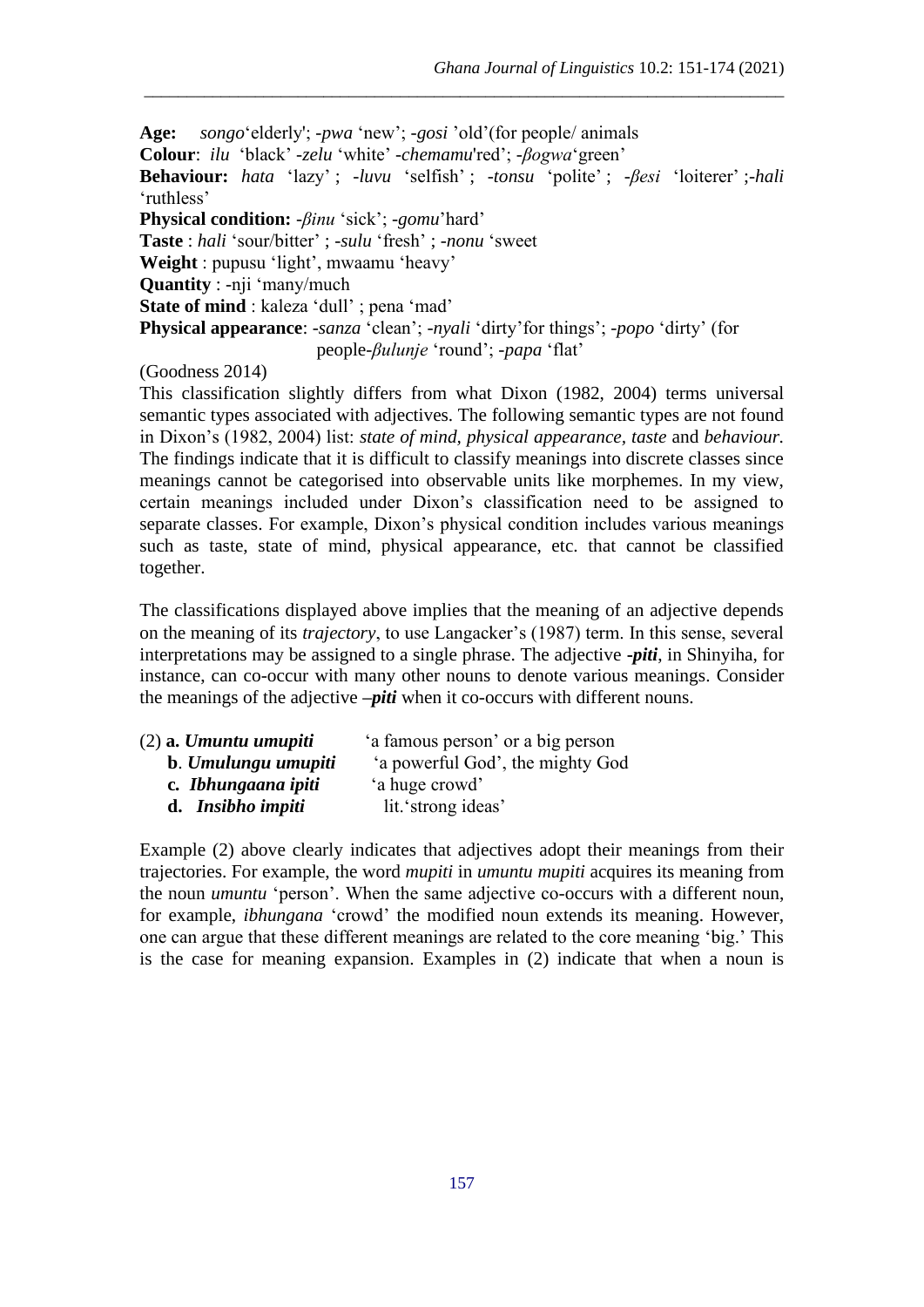**Age:** *songo*'elderly'; -*pwa* 'new'; -*gosi* 'old'(for people/ animals **Colour**: *ilu* 'black' -*zelu* 'white' -*chemamu*'red'; -*βogwa*'green' **Behaviour:** *hata* 'lazy' ; -*luvu* 'selfish' ; -*tonsu* 'polite' ; -*βesi* 'loiterer' ;-*hali* 'ruthless' **Physical condition:** -*βinu* 'sick'; *-gomu*'hard' **Taste** : *hali* 'sour/bitter' ; -*sulu* 'fresh' ; -*nonu* 'sweet **Weight** : pupusu 'light', mwaamu 'heavy' **Quantity** : -nji 'many/much **State of mind** : kaleza 'dull' ; pena 'mad' **Physical appearance**: -*sanza* 'clean'; *-nyali* 'dirty'for things'; -*popo* 'dirty' (for people-*βulunje* 'round'; -*papa* 'flat'

\_\_\_\_\_\_\_\_\_\_\_\_\_\_\_\_\_\_\_\_\_\_\_\_\_\_\_\_\_\_\_\_\_\_\_\_\_\_\_\_\_\_\_\_\_\_\_\_\_\_\_\_\_\_\_\_\_\_\_\_\_\_\_\_\_\_\_\_\_\_\_\_\_\_\_

#### (Goodness 2014)

This classification slightly differs from what Dixon (1982, 2004) terms universal semantic types associated with adjectives. The following semantic types are not found in Dixon's (1982, 2004) list: *state of mind, physical appearance, taste* and *behaviour.* The findings indicate that it is difficult to classify meanings into discrete classes since meanings cannot be categorised into observable units like morphemes. In my view, certain meanings included under Dixon's classification need to be assigned to separate classes. For example, Dixon's physical condition includes various meanings such as taste, state of mind, physical appearance, etc. that cannot be classified together.

The classifications displayed above implies that the meaning of an adjective depends on the meaning of its *trajectory*, to use Langacker's (1987) term. In this sense, several interpretations may be assigned to a single phrase. The adjective **-***piti*, in Shinyiha, for instance, can co-occur with many other nouns to denote various meanings. Consider the meanings of the adjective *–piti* when it co-occurs with different nouns.

| $(2)$ a. Umuntu umupiti | 'a famous person' or a big person |
|-------------------------|-----------------------------------|
| b. Umulungu umupiti     | 'a powerful God', the mighty God  |
| c. Ibhungaana ipiti     | 'a huge crowd'                    |
| d. Insibho impiti       | lit.'strong ideas'                |

Example (2) above clearly indicates that adjectives adopt their meanings from their trajectories. For example, the word *mupiti* in *umuntu mupiti* acquires its meaning from the noun *umuntu* 'person'. When the same adjective co-occurs with a different noun, for example, *ibhungana* 'crowd' the modified noun extends its meaning. However, one can argue that these different meanings are related to the core meaning 'big.' This is the case for meaning expansion. Examples in (2) indicate that when a noun is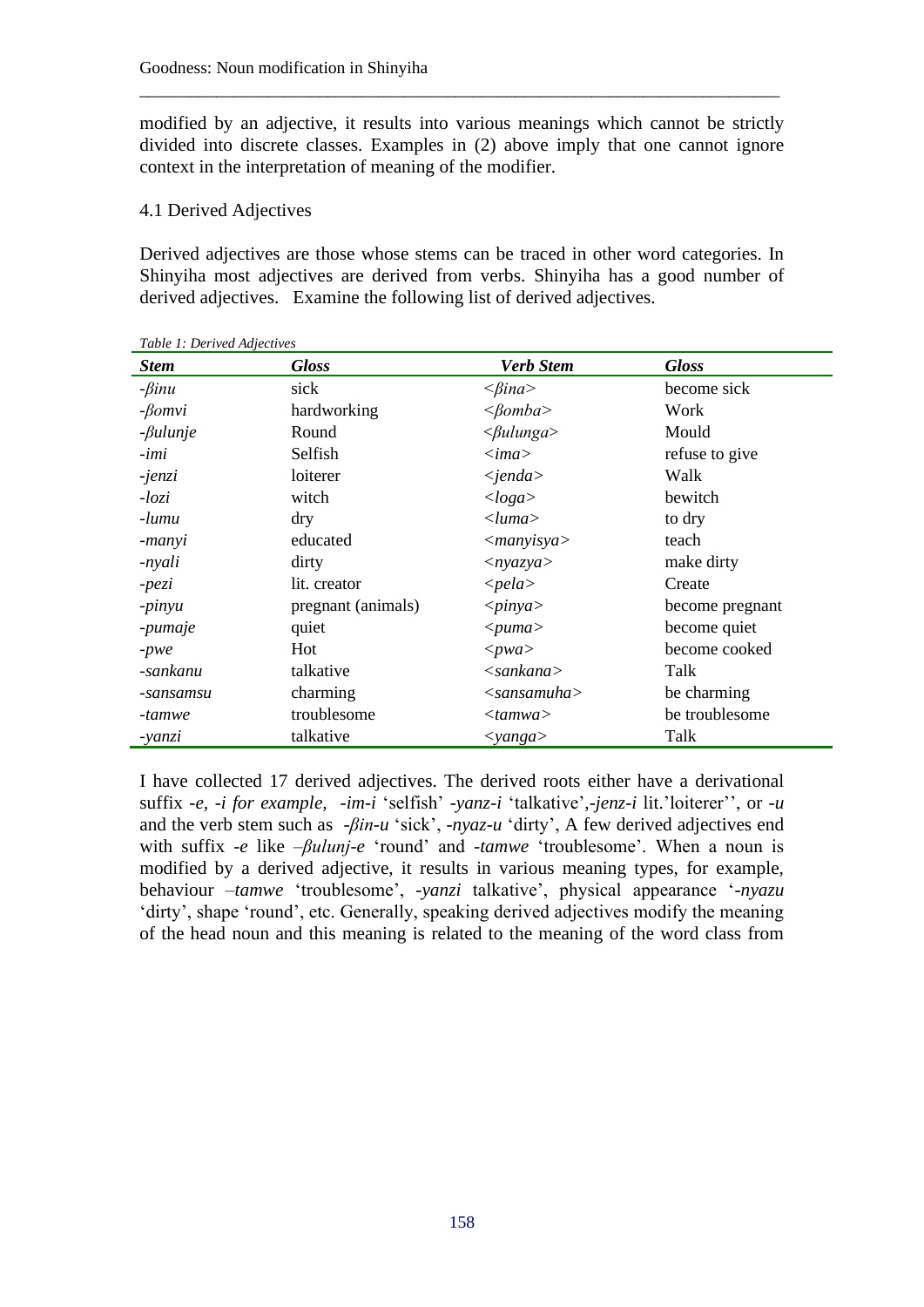modified by an adjective, it results into various meanings which cannot be strictly divided into discrete classes. Examples in (2) above imply that one cannot ignore context in the interpretation of meaning of the modifier.

\_\_\_\_\_\_\_\_\_\_\_\_\_\_\_\_\_\_\_\_\_\_\_\_\_\_\_\_\_\_\_\_\_\_\_\_\_\_\_\_\_\_\_\_\_\_\_\_\_\_\_\_\_\_\_\_\_\_\_\_\_\_\_\_\_\_\_\_\_\_\_\_\_\_\_

### 4.1 Derived Adjectives

Derived adjectives are those whose stems can be traced in other word categories. In Shinyiha most adjectives are derived from verbs. Shinyiha has a good number of derived adjectives. Examine the following list of derived adjectives.

| <b>Stem</b>     | <b>Gloss</b>       | <b>Verb Stem</b>              | <b>Gloss</b>    |
|-----------------|--------------------|-------------------------------|-----------------|
| $-\beta$ inu    | sick               | $\langle \beta$ ina $\rangle$ | become sick     |
| $-\beta omvi$   | hardworking        | $<\beta omba$                 | Work            |
| $-\beta$ ulunje | Round              | $\langle \beta$ ulunga>       | Mould           |
| -imi            | Selfish            | $\langle i$ ma $\rangle$      | refuse to give  |
| -jenzi          | loiterer           | $\langle$ <i>ienda</i>        | Walk            |
| $-logi$         | witch              | <loga></loga>                 | bewitch         |
| -lumu           | dry                | $\langle luma \rangle$        | to dry          |
| -manyi          | educated           | $\langle$ <i>manyisya</i>     | teach           |
| -nyali          | dirty              | $\langle nyazya \rangle$      | make dirty      |
| -pezi           | lit. creator       | $\langle$ <i>pela</i> $>$     | Create          |
| $-pinyu$        | pregnant (animals) | $<\pinya$                     | become pregnant |
| -pumaje         | quiet              | $<$ puma $>$                  | become quiet    |
| $-pwe$          | Hot                | $<$ <i>pwa</i> $>$            | become cooked   |
| -sankanu        | talkative          | $\langle$ sankana $\rangle$   | Talk            |
| -sansamsu       | charming           | $<$ sansamuha $>$             | be charming     |
| -tamwe          | troublesome        | <tamwa></tamwa>               | be troublesome  |
| -yanzi          | talkative          | $<$ yanga $>$                 | Talk            |

*Table 1: Derived Adjectives*

I have collected 17 derived adjectives. The derived roots either have a derivational suffix -*e, -i for example, -im-i* 'selfish' -*yanz-i* 'talkative',*-jenz-i* lit.'loiterer'', or -*u* and the verb stem such as -*βin-u* 'sick', -*nyaz-u* 'dirty', A few derived adjectives end with suffix -*e* like –*βulunj-e* 'round' and -*tamwe* 'troublesome'. When a noun is modified by a derived adjective, it results in various meaning types, for example, behaviour –*tamwe* 'troublesome', -*yanzi* talkative', physical appearance '-*nyazu*  'dirty', shape 'round', etc. Generally, speaking derived adjectives modify the meaning of the head noun and this meaning is related to the meaning of the word class from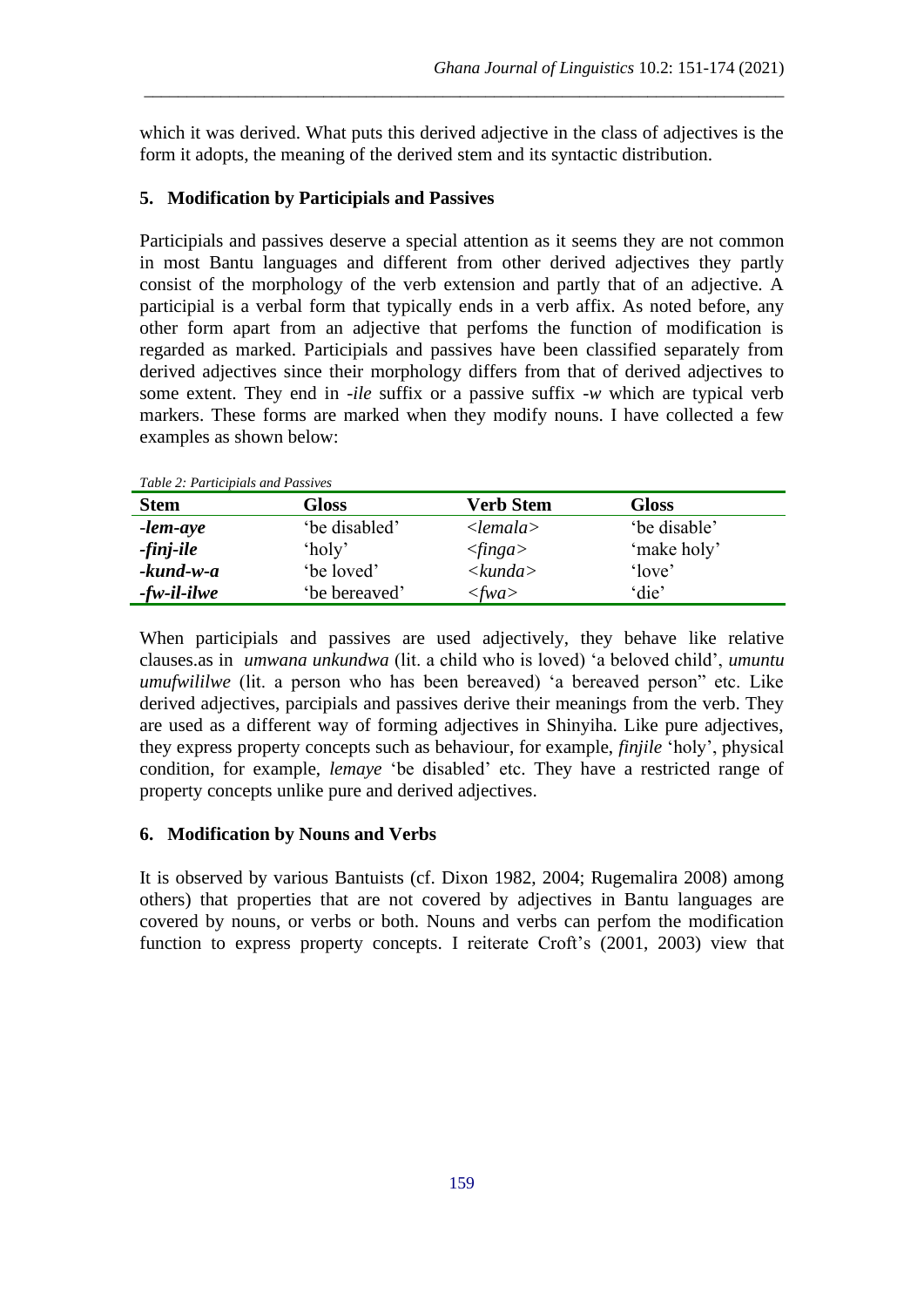which it was derived. What puts this derived adjective in the class of adjectives is the form it adopts, the meaning of the derived stem and its syntactic distribution.

\_\_\_\_\_\_\_\_\_\_\_\_\_\_\_\_\_\_\_\_\_\_\_\_\_\_\_\_\_\_\_\_\_\_\_\_\_\_\_\_\_\_\_\_\_\_\_\_\_\_\_\_\_\_\_\_\_\_\_\_\_\_\_\_\_\_\_\_\_\_\_\_\_\_\_

### **5. Modification by Participials and Passives**

Participials and passives deserve a special attention as it seems they are not common in most Bantu languages and different from other derived adjectives they partly consist of the morphology of the verb extension and partly that of an adjective. A participial is a verbal form that typically ends in a verb affix. As noted before, any other form apart from an adjective that perfoms the function of modification is regarded as marked. Participials and passives have been classified separately from derived adjectives since their morphology differs from that of derived adjectives to some extent. They end in *-ile* suffix or a passive suffix -*w* which are typical verb markers. These forms are marked when they modify nouns. I have collected a few examples as shown below:

| Tuble 2. I anneiphais and I assives |                     |                            |              |  |  |
|-------------------------------------|---------------------|----------------------------|--------------|--|--|
| <b>Stem</b>                         | Gloss               | <b>Verb Stem</b>           | Gloss        |  |  |
| -lem-aye                            | 'be disabled'       | $\langle$ lemala $\rangle$ | 'be disable' |  |  |
| -finj-ile                           | 'holy'              | $\langle finga \rangle$    | 'make holy'  |  |  |
| $-$ <i>kund</i> $-w$ - $a$          | 'be loved'          | $\lt kunda$                | 'love'       |  |  |
| $-fw$ -il-ilwe                      | <i>be</i> bereaved' | $<$ fwa $>$                | 'die'        |  |  |

*Table 2: Participials and Passives*

When participials and passives are used adjectively, they behave like relative clauses.as in *umwana unkundwa* (lit. a child who is loved) 'a beloved child', *umuntu umufwililwe* (lit. a person who has been bereaved) 'a bereaved person" etc. Like derived adjectives, parcipials and passives derive their meanings from the verb. They are used as a different way of forming adjectives in Shinyiha. Like pure adjectives, they express property concepts such as behaviour, for example, *finjile* 'holy', physical condition, for example, *lemaye* 'be disabled' etc. They have a restricted range of property concepts unlike pure and derived adjectives.

### **6. Modification by Nouns and Verbs**

It is observed by various Bantuists (cf. Dixon 1982, 2004; Rugemalira 2008) among others) that properties that are not covered by adjectives in Bantu languages are covered by nouns, or verbs or both. Nouns and verbs can perfom the modification function to express property concepts. I reiterate Croft's (2001, 2003) view that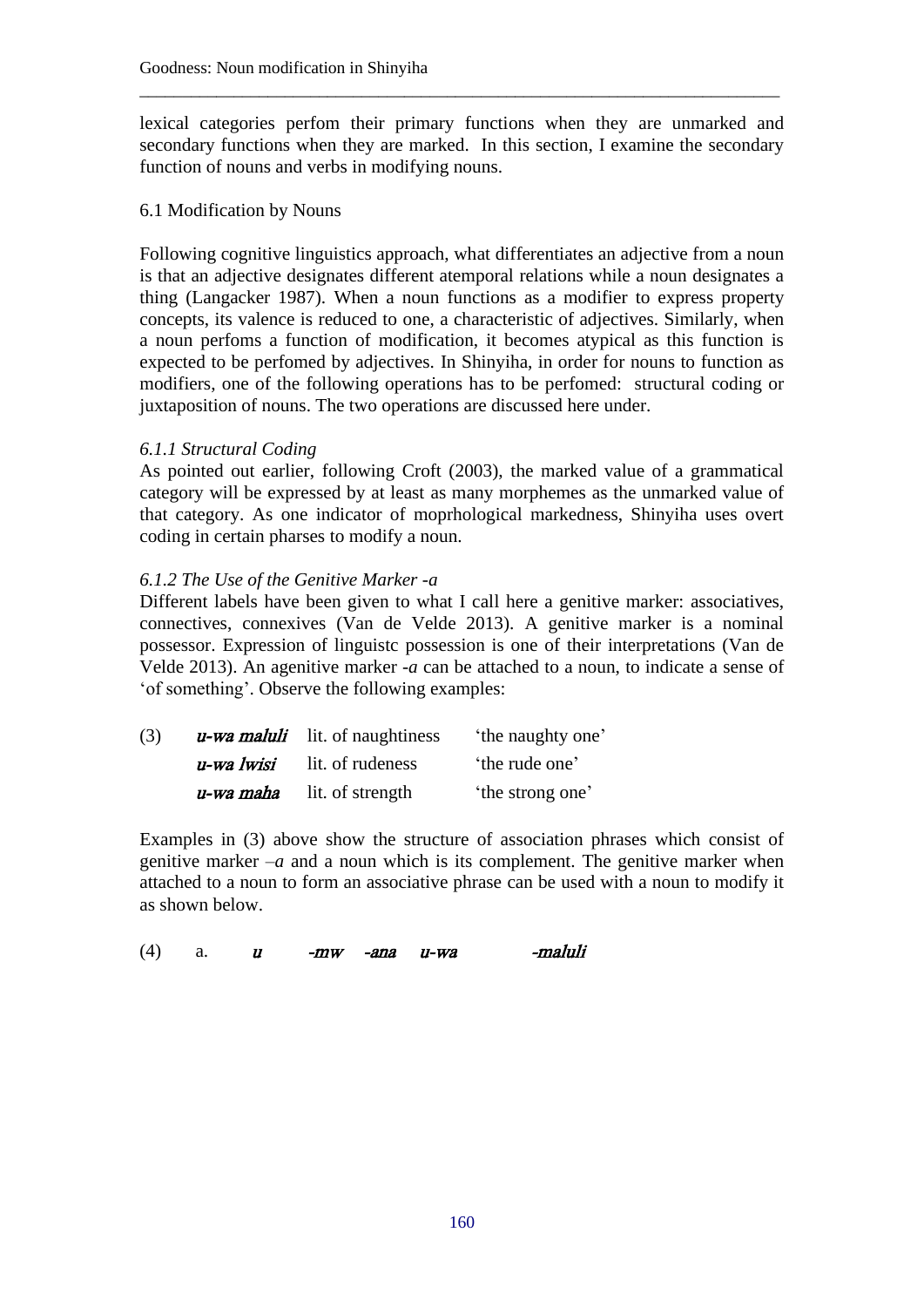lexical categories perfom their primary functions when they are unmarked and secondary functions when they are marked. In this section, I examine the secondary function of nouns and verbs in modifying nouns.

\_\_\_\_\_\_\_\_\_\_\_\_\_\_\_\_\_\_\_\_\_\_\_\_\_\_\_\_\_\_\_\_\_\_\_\_\_\_\_\_\_\_\_\_\_\_\_\_\_\_\_\_\_\_\_\_\_\_\_\_\_\_\_\_\_\_\_\_\_\_\_\_\_\_\_

### 6.1 Modification by Nouns

Following cognitive linguistics approach, what differentiates an adjective from a noun is that an adjective designates different atemporal relations while a noun designates a thing (Langacker 1987). When a noun functions as a modifier to express property concepts, its valence is reduced to one, a characteristic of adjectives. Similarly, when a noun perfoms a function of modification, it becomes atypical as this function is expected to be perfomed by adjectives. In Shinyiha, in order for nouns to function as modifiers, one of the following operations has to be perfomed: structural coding or juxtaposition of nouns. The two operations are discussed here under.

## *6.1.1 Structural Coding*

As pointed out earlier, following Croft (2003), the marked value of a grammatical category will be expressed by at least as many morphemes as the unmarked value of that category. As one indicator of moprhological markedness, Shinyiha uses overt coding in certain pharses to modify a noun.

## *6.1.2 The Use of the Genitive Marker -a*

Different labels have been given to what I call here a genitive marker: associatives, connectives, connexives (Van de Velde 2013). A genitive marker is a nominal possessor. Expression of linguistc possession is one of their interpretations (Van de Velde 2013). An agenitive marker *-a* can be attached to a noun, to indicate a sense of 'of something'. Observe the following examples:

| (3) |            | <i>u</i> -wa maluli lit. of naughtiness | 'the naughty one' |  |
|-----|------------|-----------------------------------------|-------------------|--|
|     | u-wa lwisi | lit. of rudeness                        | the rude one'     |  |
|     | u-wa maha  | lit. of strength                        | the strong one'   |  |

Examples in (3) above show the structure of association phrases which consist of genitive marker –*a* and a noun which is its complement. The genitive marker when attached to a noun to form an associative phrase can be used with a noun to modify it as shown below.

| -mw -ana u-wa | (4) |  |  |  |  |  | -maluli |
|---------------|-----|--|--|--|--|--|---------|
|---------------|-----|--|--|--|--|--|---------|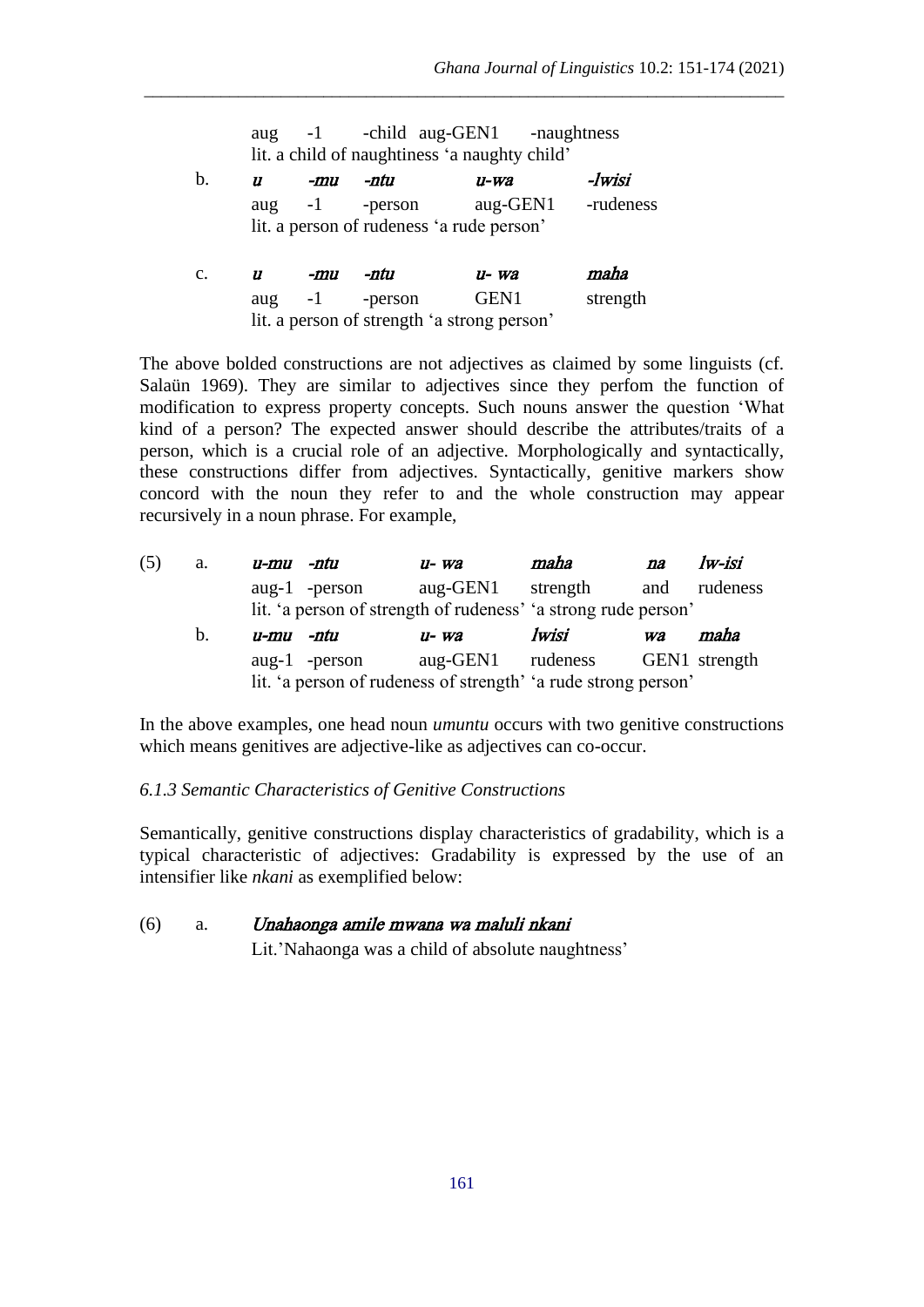|                |                  |      |                  | lit. a child of naughtiness 'a naughty child' |           |
|----------------|------------------|------|------------------|-----------------------------------------------|-----------|
| b.             | $\boldsymbol{u}$ | -mu  | -ntu             | $u$ -wa                                       | -lwisi    |
|                |                  |      | aug $-1$ -person | aug-GEN1                                      | -rudeness |
|                |                  |      |                  | lit. a person of rudeness 'a rude person'     |           |
|                |                  |      |                  |                                               |           |
| $\mathbf{c}$ . | 11               | -mu  | -ntu             | $u$ - wa                                      | maha      |
|                | aug              | $-1$ | -person          | GEN1                                          | strength  |

aug -1 -child aug-GEN1 -naughtness

\_\_\_\_\_\_\_\_\_\_\_\_\_\_\_\_\_\_\_\_\_\_\_\_\_\_\_\_\_\_\_\_\_\_\_\_\_\_\_\_\_\_\_\_\_\_\_\_\_\_\_\_\_\_\_\_\_\_\_\_\_\_\_\_\_\_\_\_\_\_\_\_\_\_\_

The above bolded constructions are not adjectives as claimed by some linguists (cf. Salaün 1969). They are similar to adjectives since they perfom the function of modification to express property concepts. Such nouns answer the question 'What kind of a person? The expected answer should describe the attributes/traits of a person, which is a crucial role of an adjective. Morphologically and syntactically, these constructions differ from adjectives. Syntactically, genitive markers show concord with the noun they refer to and the whole construction may appear recursively in a noun phrase. For example,

| (5) | a. | u-mu -ntu |                  | $u$ - wa                                                       | maha     | na        | lw-isi        |
|-----|----|-----------|------------------|----------------------------------------------------------------|----------|-----------|---------------|
|     |    |           | aug-1 - $person$ | aug-GEN1                                                       | strength | and       | rudeness      |
|     |    |           |                  | lit. 'a person of strength of rudeness' 'a strong rude person' |          |           |               |
|     |    |           |                  |                                                                |          |           |               |
|     | b. | u-mu -ntu |                  | $u$ - wa                                                       | lwisi    | <b>Wa</b> | maha          |
|     |    |           | aug-1 -person    | aug-GEN1 rudeness                                              |          |           | GEN1 strength |

In the above examples, one head noun *umuntu* occurs with two genitive constructions which means genitives are adjective-like as adjectives can co-occur.

### *6.1.3 Semantic Characteristics of Genitive Constructions*

Semantically, genitive constructions display characteristics of gradability, which is a typical characteristic of adjectives: Gradability is expressed by the use of an intensifier like *nkani* as exemplified below:

#### (6) a. Unahaonga amile mwana wa maluli nkani

Lit.'Nahaonga was a child of absolute naughtness'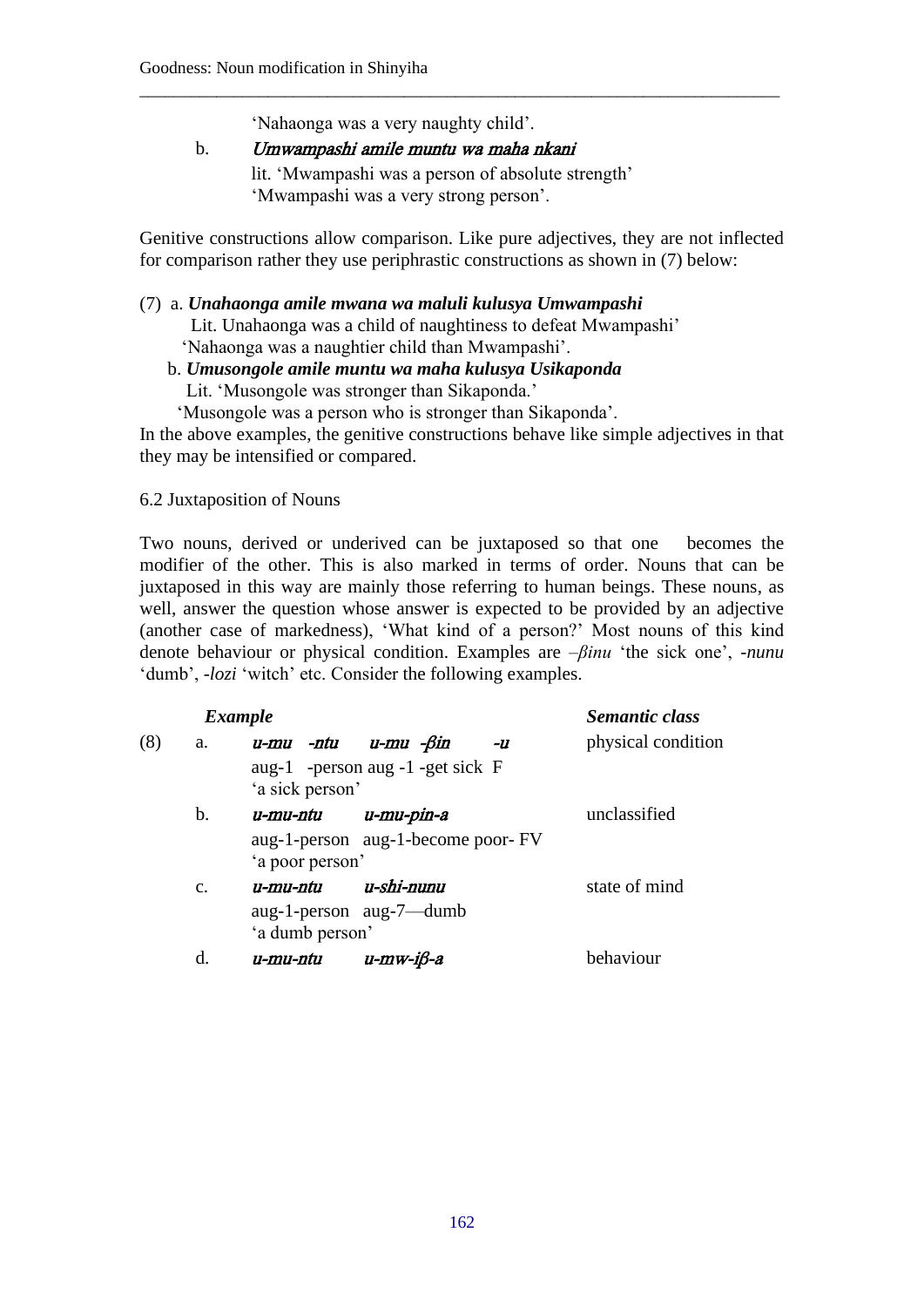'Nahaonga was a very naughty child'.

b. Umwampashi amile muntu wa maha nkani lit. 'Mwampashi was a person of absolute strength' 'Mwampashi was a very strong person'.

Genitive constructions allow comparison. Like pure adjectives, they are not inflected for comparison rather they use periphrastic constructions as shown in (7) below:

\_\_\_\_\_\_\_\_\_\_\_\_\_\_\_\_\_\_\_\_\_\_\_\_\_\_\_\_\_\_\_\_\_\_\_\_\_\_\_\_\_\_\_\_\_\_\_\_\_\_\_\_\_\_\_\_\_\_\_\_\_\_\_\_\_\_\_\_\_\_\_\_\_\_\_

#### (7) a. *Unahaonga amile mwana wa maluli kulusya Umwampashi*

Lit. Unahaonga was a child of naughtiness to defeat Mwampashi'

'Nahaonga was a naughtier child than Mwampashi'.

### b. *Umusongole amile muntu wa maha kulusya Usikaponda*

Lit. 'Musongole was stronger than Sikaponda.'

'Musongole was a person who is stronger than Sikaponda'.

In the above examples, the genitive constructions behave like simple adjectives in that they may be intensified or compared.

### 6.2 Juxtaposition of Nouns

Two nouns, derived or underived can be juxtaposed so that one becomes the modifier of the other. This is also marked in terms of order. Nouns that can be juxtaposed in this way are mainly those referring to human beings. These nouns, as well, answer the question whose answer is expected to be provided by an adjective (another case of markedness), 'What kind of a person?' Most nouns of this kind denote behaviour or physical condition. Examples are –*βinu* 'the sick one', -*nunu* 'dumb', *-lozi* 'witch' etc. Consider the following examples.

|                | <b>Example</b>      |                                    | Semantic class     |
|----------------|---------------------|------------------------------------|--------------------|
| (8)<br>a.      | u-mu -ntu u-mu -ßin | -U                                 | physical condition |
|                | 'a sick person'     | aug-1 -person aug -1 -get sick F   |                    |
| b.             | u-mu-ntu            | u-mu-pin-a                         | unclassified       |
|                | 'a poor person'     | aug-1-person aug-1-become poor- FV |                    |
| $\mathbf{c}$ . | u-mu-ntu            | u-shi-nunu                         | state of mind      |
|                | 'a dumb person'     | aug-1-person aug-7—dumb            |                    |
| $\mathbf d$    | u-mu-ntu            | $u$ -mw-i $\beta$ -a               | behaviour          |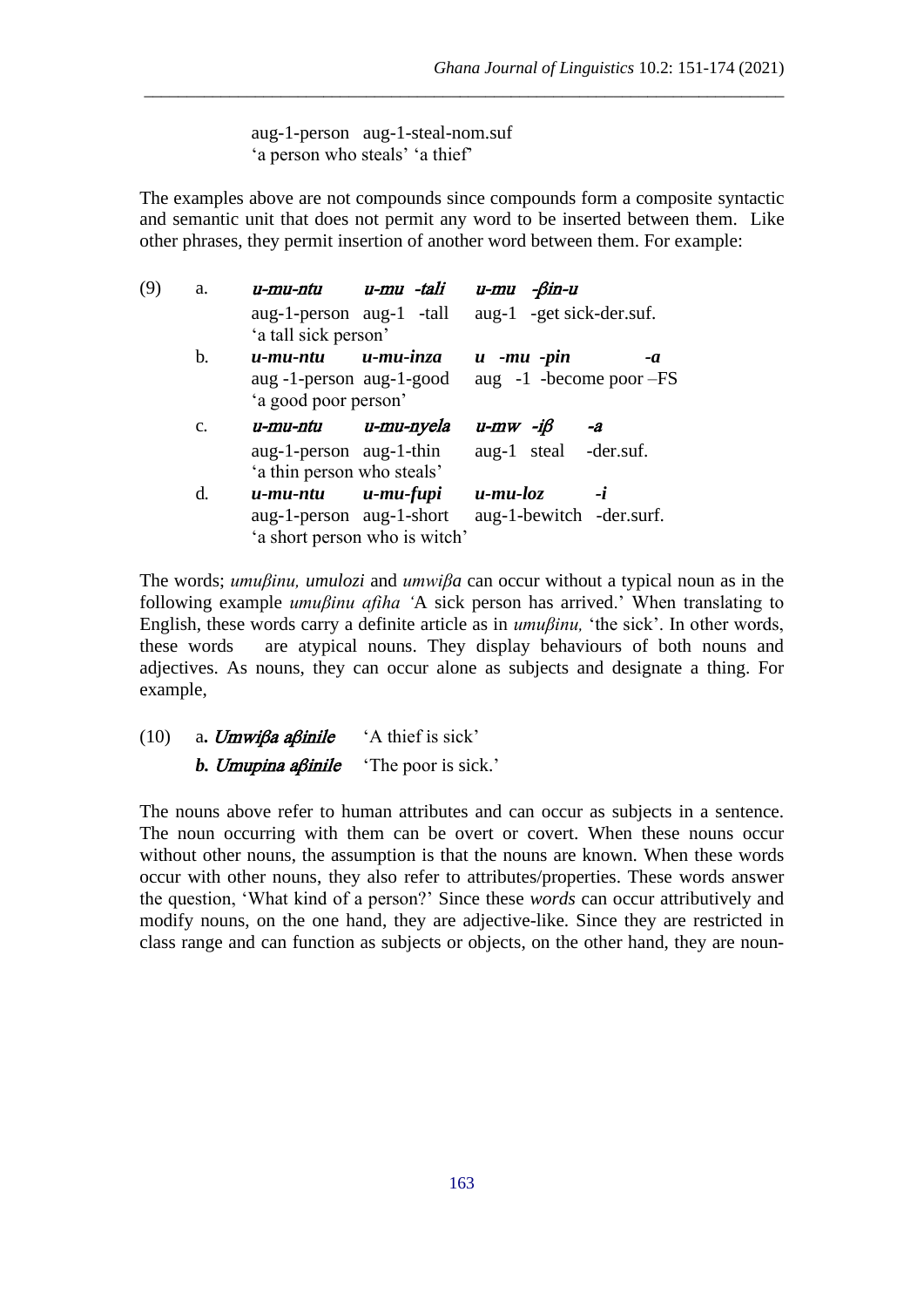aug-1-person aug-1-steal-nom.suf 'a person who steals' 'a thief'

The examples above are not compounds since compounds form a composite syntactic and semantic unit that does not permit any word to be inserted between them. Like other phrases, they permit insertion of another word between them. For example:

\_\_\_\_\_\_\_\_\_\_\_\_\_\_\_\_\_\_\_\_\_\_\_\_\_\_\_\_\_\_\_\_\_\_\_\_\_\_\_\_\_\_\_\_\_\_\_\_\_\_\_\_\_\_\_\_\_\_\_\_\_\_\_\_\_\_\_\_\_\_\_\_\_\_\_

| (9) | a. | u-mu-ntu                   | u-mu -tali                    | $u$ -mu - $\beta$ in-u      |    |
|-----|----|----------------------------|-------------------------------|-----------------------------|----|
|     |    | aug-1-person aug-1 -tall   |                               | aug-1 -get sick-der.suf.    |    |
|     |    | 'a tall sick person'       |                               |                             |    |
|     | b. | u-mu-ntu                   | $u$ -mu-inza                  | $u$ -mu -pin                | -a |
|     |    | aug -1-person aug-1-good   |                               | aug $-1$ -become poor $-FS$ |    |
|     |    | 'a good poor person'       |                               |                             |    |
|     | C. | u-mu-ntu                   | u-mu-nyela                    | $u$ -mw -i $\beta$          | -a |
|     |    | aug-1-person aug-1-thin    |                               | aug-1 steal -der.suf.       |    |
|     |    | 'a thin person who steals' |                               |                             |    |
|     | d. | u-mu-ntu                   | u-mu-fupi                     | $u$ -mu-loz                 | -i |
|     |    | aug-1-person aug-1-short   |                               | aug-1-bewitch -der.surf.    |    |
|     |    |                            | 'a short person who is witch' |                             |    |

The words; *umuβinu, umulozi* and *umwiβa* can occur without a typical noun as in the following example *umuβinu afiha '*A sick person has arrived.' When translating to English, these words carry a definite article as in *umuβinu,* 'the sick'. In other words, these words are atypical nouns. They display behaviours of both nouns and adjectives. As nouns, they can occur alone as subjects and designate a thing. For example,

(10) a**.** Umwiβa aβinile 'A thief is sick' *b. Umupina aβinile* 'The poor is sick.'

The nouns above refer to human attributes and can occur as subjects in a sentence. The noun occurring with them can be overt or covert. When these nouns occur without other nouns, the assumption is that the nouns are known. When these words occur with other nouns, they also refer to attributes/properties. These words answer the question, 'What kind of a person?' Since these *words* can occur attributively and modify nouns, on the one hand, they are adjective-like. Since they are restricted in class range and can function as subjects or objects, on the other hand, they are noun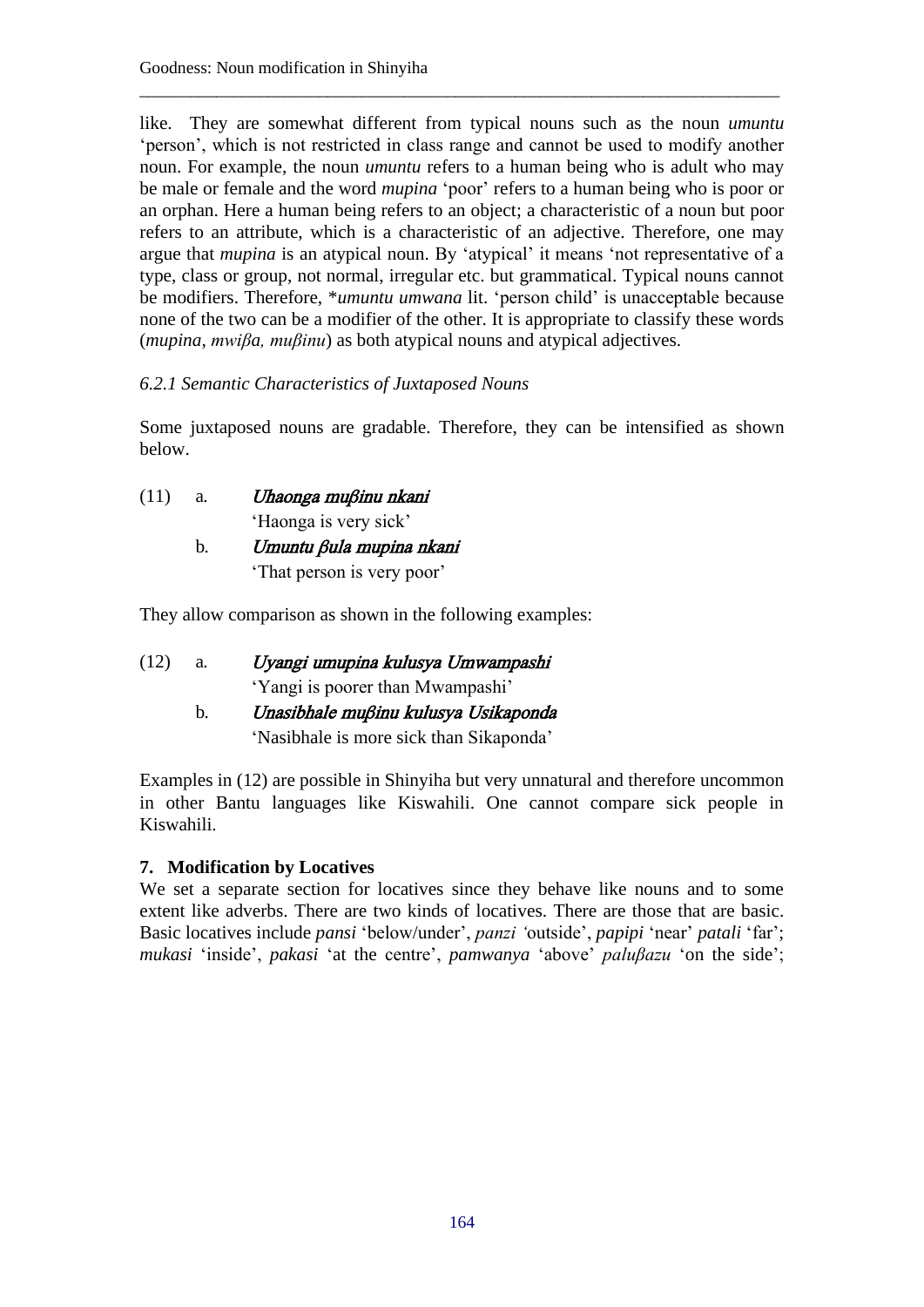like. They are somewhat different from typical nouns such as the noun *umuntu* 'person', which is not restricted in class range and cannot be used to modify another noun. For example, the noun *umuntu* refers to a human being who is adult who may be male or female and the word *mupina* 'poor' refers to a human being who is poor or an orphan. Here a human being refers to an object; a characteristic of a noun but poor refers to an attribute, which is a characteristic of an adjective. Therefore, one may argue that *mupina* is an atypical noun. By 'atypical' it means 'not representative of a type, class or group, not normal, irregular etc. but grammatical. Typical nouns cannot be modifiers. Therefore, \**umuntu umwana* lit. 'person child' is unacceptable because none of the two can be a modifier of the other. It is appropriate to classify these words (*mupina, mwiβa, muβinu*) as both atypical nouns and atypical adjectives.

\_\_\_\_\_\_\_\_\_\_\_\_\_\_\_\_\_\_\_\_\_\_\_\_\_\_\_\_\_\_\_\_\_\_\_\_\_\_\_\_\_\_\_\_\_\_\_\_\_\_\_\_\_\_\_\_\_\_\_\_\_\_\_\_\_\_\_\_\_\_\_\_\_\_\_

# *6.2.1 Semantic Characteristics of Juxtaposed Nouns*

Some juxtaposed nouns are gradable. Therefore, they can be intensified as shown below.

(11) a*.* Uhaonga muβinu nkani 'Haonga is very sick' b*.* Umuntu βula mupina nkani

'That person is very poor'

They allow comparison as shown in the following examples:

| (12) | Uyangi umupina kulusya Umwampashi |
|------|-----------------------------------|
|      | 'Yangi is poorer than Mwampashi'  |
|      |                                   |

 b*.* Unasibhale muβinu kulusya Usikaponda 'Nasibhale is more sick than Sikaponda'

Examples in (12) are possible in Shinyiha but very unnatural and therefore uncommon in other Bantu languages like Kiswahili. One cannot compare sick people in Kiswahili.

# **7. Modification by Locatives**

We set a separate section for locatives since they behave like nouns and to some extent like adverbs. There are two kinds of locatives. There are those that are basic. Basic locatives include *pansi* 'below/under', *panzi '*outside', *papipi* 'near' *patali* 'far'; *mukasi* 'inside', *pakasi* 'at the centre', *pamwanya* 'above' *paluβazu* 'on the side';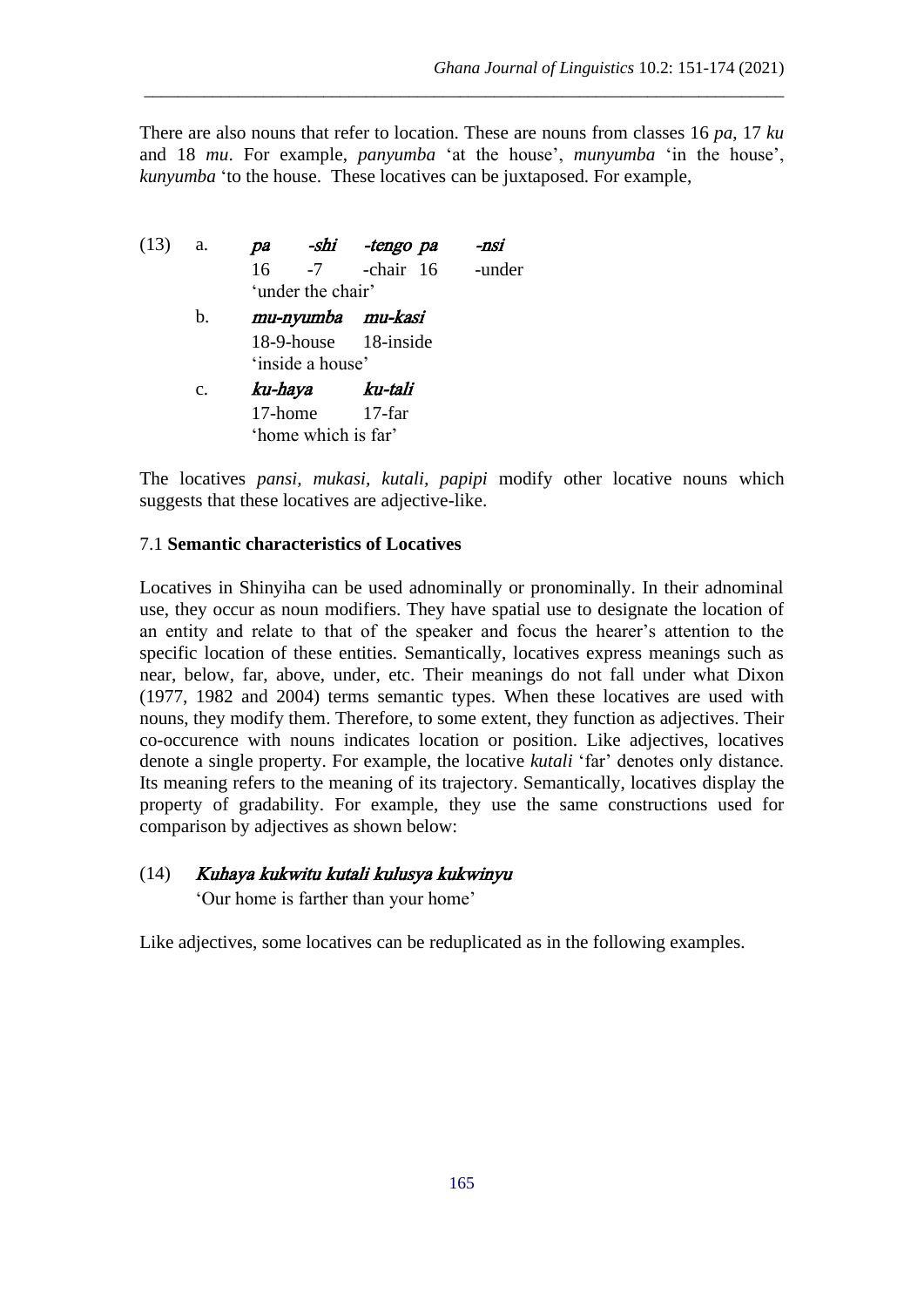There are also nouns that refer to location. These are nouns from classes 16 *pa*, 17 *ku* and 18 *mu*. For example, *panyumba* 'at the house', *munyumba* 'in the house', *kunyumba* 'to the house. These locatives can be juxtaposed. For example,

\_\_\_\_\_\_\_\_\_\_\_\_\_\_\_\_\_\_\_\_\_\_\_\_\_\_\_\_\_\_\_\_\_\_\_\_\_\_\_\_\_\_\_\_\_\_\_\_\_\_\_\_\_\_\_\_\_\_\_\_\_\_\_\_\_\_\_\_\_\_\_\_\_\_\_

| $(13)$ a. |                |                      | pa -shi -tengo pa      | -nsi |
|-----------|----------------|----------------------|------------------------|------|
|           |                |                      | 16 -7 -chair 16 -under |      |
|           |                | 'under the chair'    |                        |      |
|           | b.             | mu-nyumba mu-kasi    |                        |      |
|           |                |                      | 18-9-house 18-inside   |      |
|           |                | 'inside a house'     |                        |      |
|           | $\mathbf{c}$ . | ku-haya ku-tali      |                        |      |
|           |                | $17$ -home $17$ -far |                        |      |
|           |                | 'home which is far'  |                        |      |

The locatives *pansi, mukasi, kutali, papipi* modify other locative nouns which suggests that these locatives are adjective-like.

## 7.1 **Semantic characteristics of Locatives**

Locatives in Shinyiha can be used adnominally or pronominally. In their adnominal use, they occur as noun modifiers. They have spatial use to designate the location of an entity and relate to that of the speaker and focus the hearer's attention to the specific location of these entities. Semantically, locatives express meanings such as near, below, far, above, under, etc. Their meanings do not fall under what Dixon (1977, 1982 and 2004) terms semantic types. When these locatives are used with nouns, they modify them. Therefore, to some extent, they function as adjectives. Their co-occurence with nouns indicates location or position. Like adjectives, locatives denote a single property. For example, the locative *kutali* 'far' denotes only distance. Its meaning refers to the meaning of its trajectory. Semantically, locatives display the property of gradability. For example, they use the same constructions used for comparison by adjectives as shown below:

### (14) Kuhaya kukwitu kutali kulusya kukwinyu

'Our home is farther than your home'

Like adjectives, some locatives can be reduplicated as in the following examples.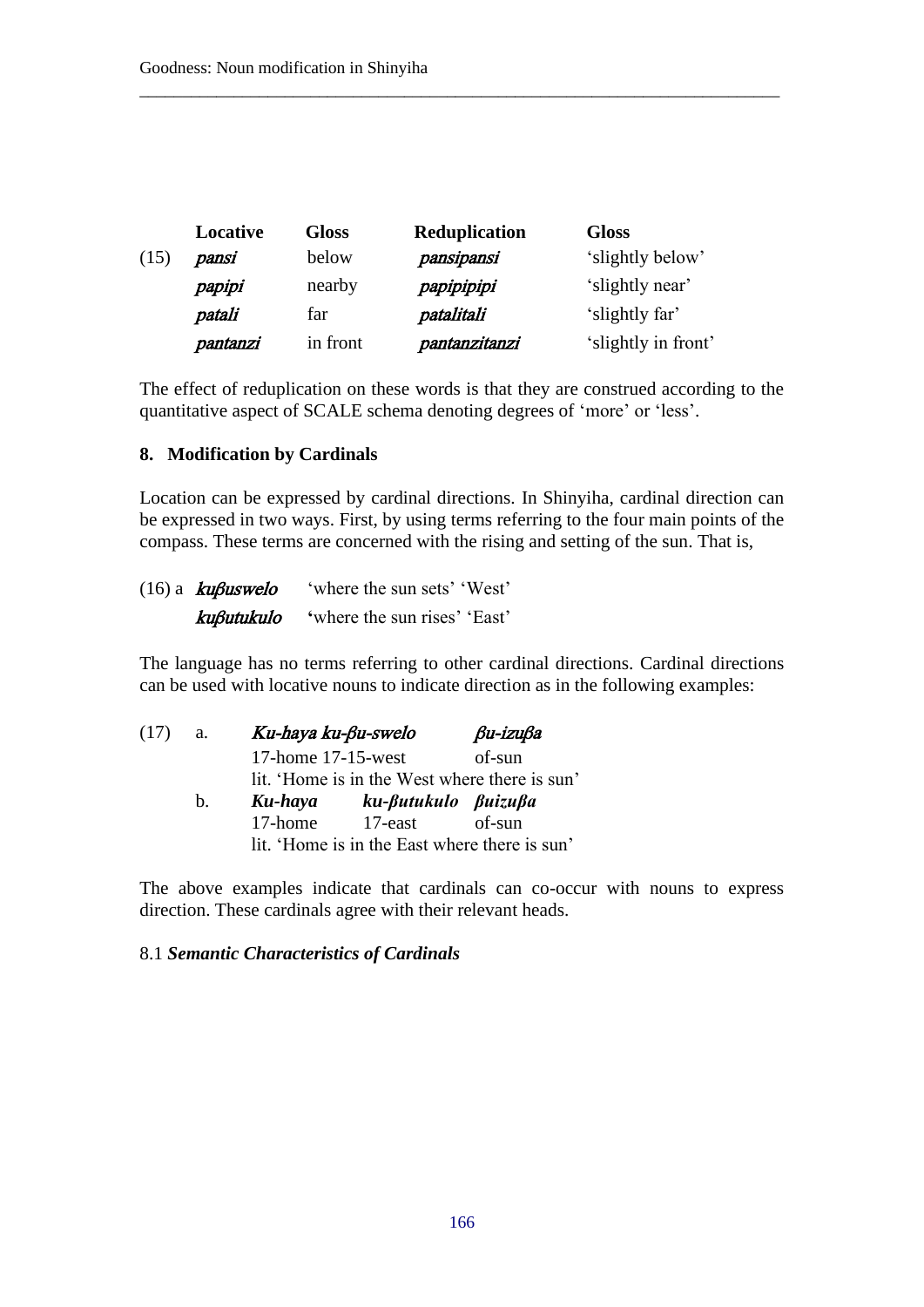|      | Locative | <b>Gloss</b> | <b>Reduplication</b> | <b>Gloss</b>        |
|------|----------|--------------|----------------------|---------------------|
| (15) | pansi    | below        | pansipansi           | 'slightly below'    |
|      | papipi   | nearby       | papipipipi           | 'slightly near'     |
|      | patali   | far          | patalitali           | 'slightly far'      |
|      | pantanzi | in front     | pantanzitanzi        | 'slightly in front' |

The effect of reduplication on these words is that they are construed according to the quantitative aspect of SCALE schema denoting degrees of 'more' or 'less'.

\_\_\_\_\_\_\_\_\_\_\_\_\_\_\_\_\_\_\_\_\_\_\_\_\_\_\_\_\_\_\_\_\_\_\_\_\_\_\_\_\_\_\_\_\_\_\_\_\_\_\_\_\_\_\_\_\_\_\_\_\_\_\_\_\_\_\_\_\_\_\_\_\_\_\_

### **8. Modification by Cardinals**

Location can be expressed by cardinal directions. In Shinyiha, cardinal direction can be expressed in two ways. First, by using terms referring to the four main points of the compass. These terms are concerned with the rising and setting of the sun. That is,

| $(16)$ a <b>kußuswelo</b> | 'where the sun sets' 'West'  |
|---------------------------|------------------------------|
| kuβutukulo                | 'where the sun rises' 'East' |

The language has no terms referring to other cardinal directions. Cardinal directions can be used with locative nouns to indicate direction as in the following examples:

| (17) | a.            | Ku-haya ku-βu-swelo                           | $\beta$ u-izu $\beta$ a                       |        |  |  |
|------|---------------|-----------------------------------------------|-----------------------------------------------|--------|--|--|
|      |               | 17-home 17-15-west                            |                                               | of-sun |  |  |
|      |               |                                               | lit. 'Home is in the West where there is sun' |        |  |  |
|      | $\mathbf b$ . | Ku-haya                                       | ku- <i>futukulo fuizufa</i>                   |        |  |  |
|      |               | 17-home                                       | $17$ -east                                    | of-sun |  |  |
|      |               | lit. 'Home is in the East where there is sun' |                                               |        |  |  |

The above examples indicate that cardinals can co-occur with nouns to express direction. These cardinals agree with their relevant heads.

### 8.1 *Semantic Characteristics of Cardinals*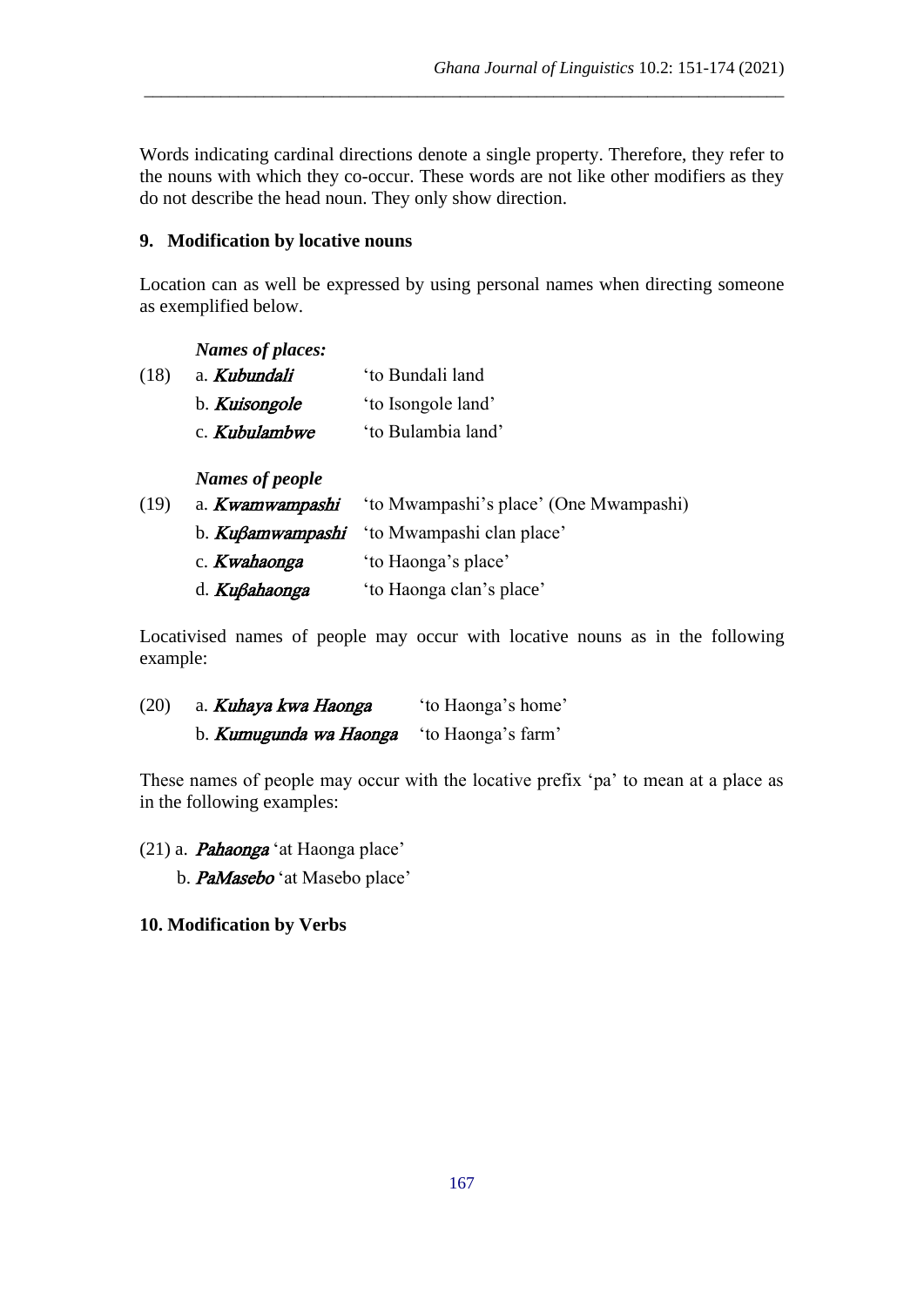Words indicating cardinal directions denote a single property. Therefore, they refer to the nouns with which they co-occur. These words are not like other modifiers as they do not describe the head noun. They only show direction.

\_\_\_\_\_\_\_\_\_\_\_\_\_\_\_\_\_\_\_\_\_\_\_\_\_\_\_\_\_\_\_\_\_\_\_\_\_\_\_\_\_\_\_\_\_\_\_\_\_\_\_\_\_\_\_\_\_\_\_\_\_\_\_\_\_\_\_\_\_\_\_\_\_\_\_

# **9. Modification by locative nouns**

Location can as well be expressed by using personal names when directing someone as exemplified below.

|      | Names of places: |                                        |
|------|------------------|----------------------------------------|
| (18) | a. Kubundali     | 'to Bundali land                       |
|      | b. Kuisongole    | 'to Isongole land'                     |
|      | c. Kubulambwe    | 'to Bulambia land'                     |
|      | Names of people  |                                        |
| (19) | a. Kwamwampashi  | 'to Mwampashi's place' (One Mwampashi) |
|      | b. Kußamwampashi | 'to Mwampashi clan place'              |
|      |                  |                                        |

| c. <i>Kwahaonga</i> | 'to Haonga's place'      |  |  |
|---------------------|--------------------------|--|--|
| d. Kußahaonga       | 'to Haonga clan's place' |  |  |

Locativised names of people may occur with locative nouns as in the following example:

(20) a. **Kuhaya kwa Haonga** 'to Haonga's home' b. **Kumugunda wa Haonga** 'to Haonga's farm'

These names of people may occur with the locative prefix 'pa' to mean at a place as in the following examples:

- $(21)$  a. **Pahaonga** 'at Haonga place'
	- b. PaMasebo 'at Masebo place'

### **10. Modification by Verbs**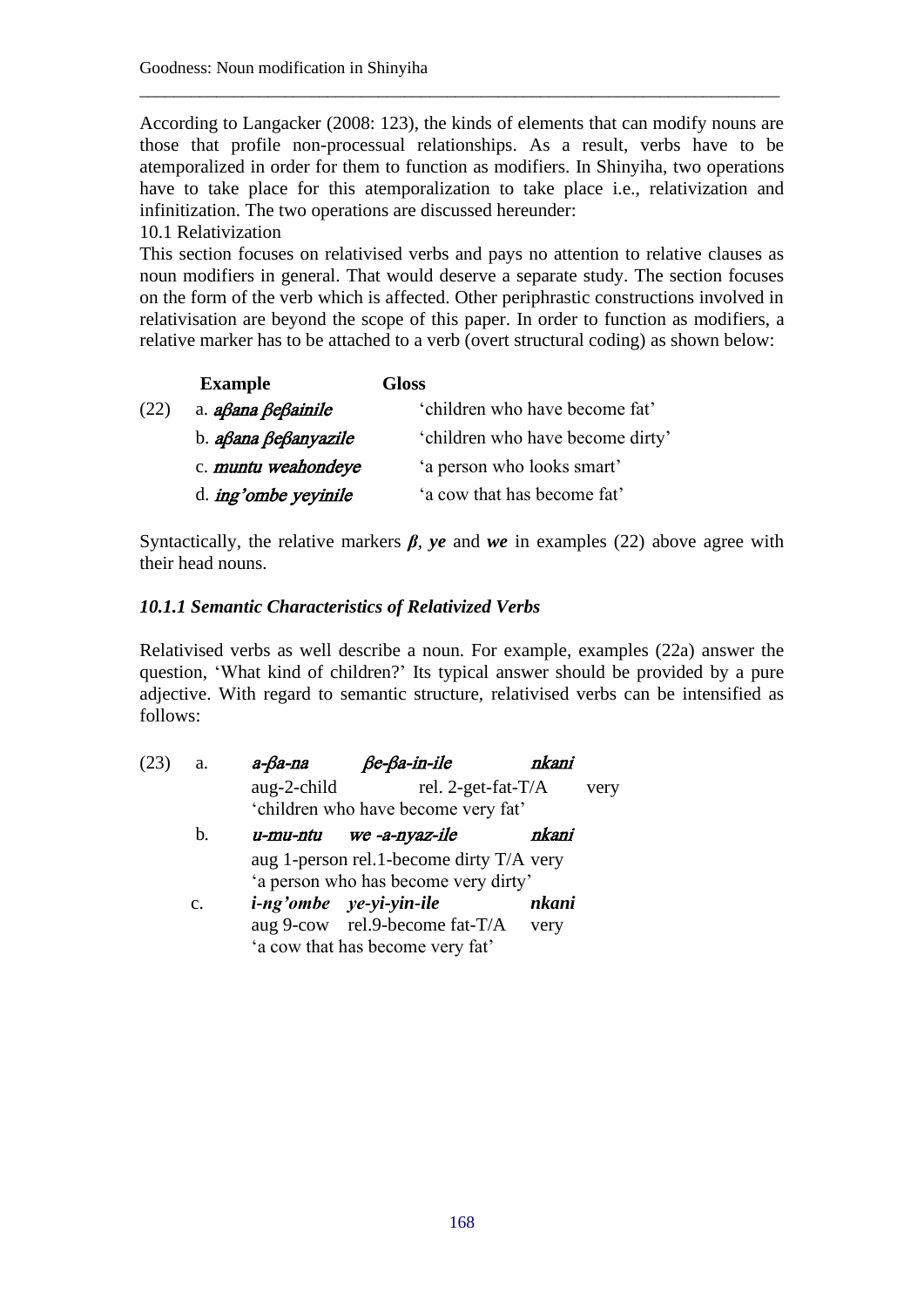According to Langacker (2008: 123), the kinds of elements that can modify nouns are those that profile non-processual relationships. As a result, verbs have to be atemporalized in order for them to function as modifiers. In Shinyiha, two operations have to take place for this atemporalization to take place i.e., relativization and infinitization. The two operations are discussed hereunder:

\_\_\_\_\_\_\_\_\_\_\_\_\_\_\_\_\_\_\_\_\_\_\_\_\_\_\_\_\_\_\_\_\_\_\_\_\_\_\_\_\_\_\_\_\_\_\_\_\_\_\_\_\_\_\_\_\_\_\_\_\_\_\_\_\_\_\_\_\_\_\_\_\_\_\_

10.1 Relativization

This section focuses on relativised verbs and pays no attention to relative clauses as noun modifiers in general. That would deserve a separate study. The section focuses on the form of the verb which is affected. Other periphrastic constructions involved in relativisation are beyond the scope of this paper. In order to function as modifiers, a relative marker has to be attached to a verb (overt structural coding) as shown below:

|      | <b>Example</b>                               | Gloss                            |
|------|----------------------------------------------|----------------------------------|
| (22) | a. a <sub>b</sub> ana Be <sub>b</sub> ainile | 'children who have become fat'   |
|      | b. <i>aßana ßeßanyazile</i>                  | 'children who have become dirty' |
|      | c. muntu weahondeye                          | 'a person who looks smart'       |
|      | d. <i>ing'ombe yeyinile</i>                  | 'a cow that has become fat'      |

Syntactically, the relative markers  $\beta$ *, ye* and *we* in examples (22) above agree with their head nouns.

# *10.1.1 Semantic Characteristics of Relativized Verbs*

Relativised verbs as well describe a noun. For example, examples (22a) answer the question, 'What kind of children?' Its typical answer should be provided by a pure adjective. With regard to semantic structure, relativised verbs can be intensified as follows:

| (23) | a.             | $a$ - $\beta$ a-na | $\beta$ e- $\beta$ a-in-ile              | nkani |      |
|------|----------------|--------------------|------------------------------------------|-------|------|
|      |                | aug-2-child        | rel. 2-get-fat-T/A                       |       | very |
|      |                |                    | 'children who have become very fat'      |       |      |
|      | b.             |                    | u-mu-ntu we -a-nyaz-ile                  | nkani |      |
|      |                |                    | aug 1-person rel.1-become dirty T/A very |       |      |
|      |                |                    | 'a person who has become very dirty'     |       |      |
|      | $\mathbf{c}$ . |                    | <i>i-ng'ombe</i> ye-yi-yin-ile           | nkani |      |
|      |                |                    | aug 9-cow rel.9-become fat-T/A           | very  |      |
|      |                |                    | 'a cow that has become very fat'         |       |      |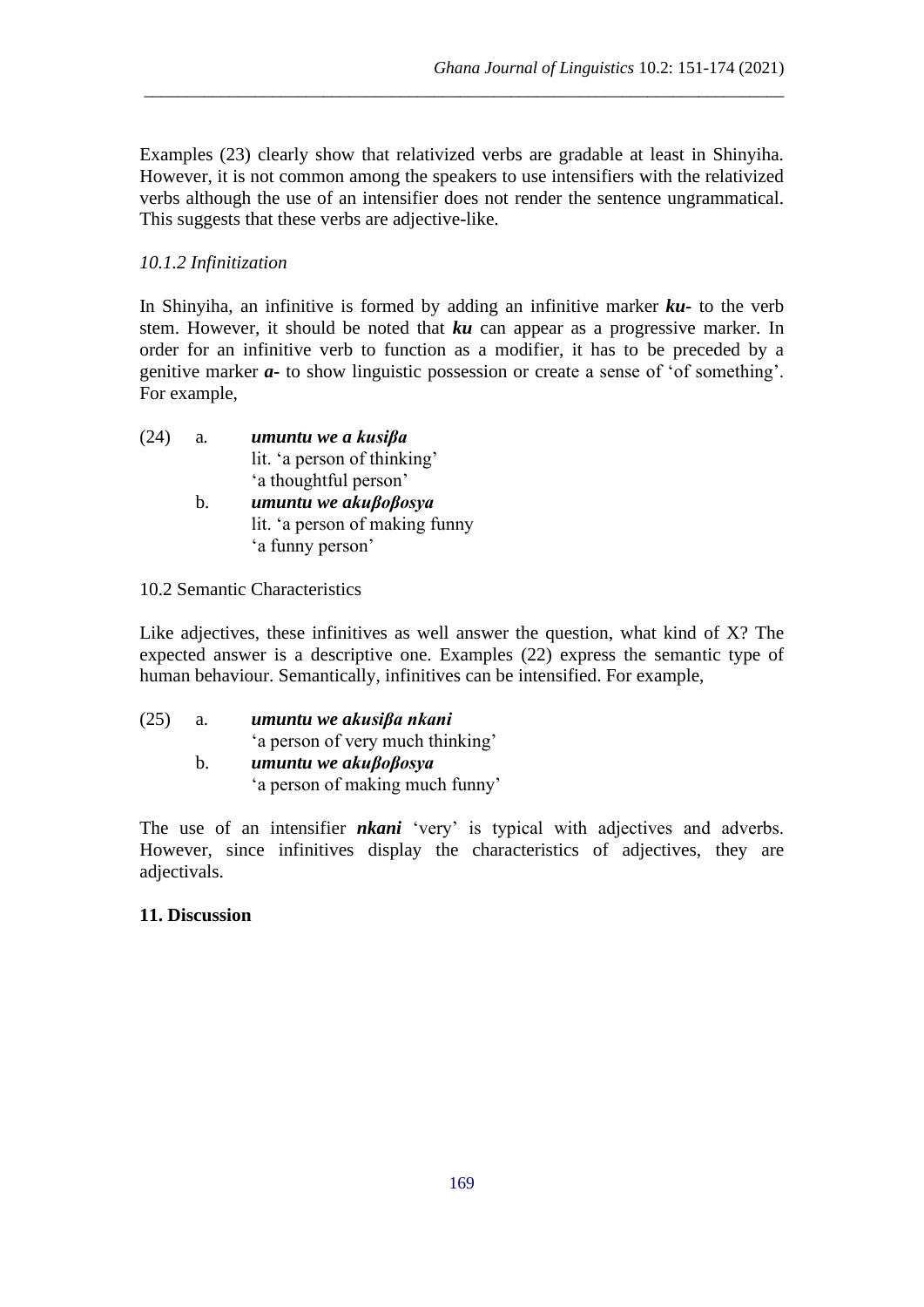Examples (23) clearly show that relativized verbs are gradable at least in Shinyiha. However, it is not common among the speakers to use intensifiers with the relativized verbs although the use of an intensifier does not render the sentence ungrammatical. This suggests that these verbs are adjective-like.

\_\_\_\_\_\_\_\_\_\_\_\_\_\_\_\_\_\_\_\_\_\_\_\_\_\_\_\_\_\_\_\_\_\_\_\_\_\_\_\_\_\_\_\_\_\_\_\_\_\_\_\_\_\_\_\_\_\_\_\_\_\_\_\_\_\_\_\_\_\_\_\_\_\_\_

## *10.1.2 Infinitization*

In Shinyiha, an infinitive is formed by adding an infinitive marker *ku-* to the verb stem. However, it should be noted that *ku* can appear as a progressive marker. In order for an infinitive verb to function as a modifier, it has to be preceded by a genitive marker *a-* to show linguistic possession or create a sense of 'of something'. For example,

- (24) a*. umuntu we a kusiβa* lit. 'a person of thinking' 'a thoughtful person' b. *umuntu we akuβoβosya* lit. 'a person of making funny
	- 'a funny person'
- 10.2 Semantic Characteristics

Like adjectives, these infinitives as well answer the question, what kind of X? The expected answer is a descriptive one. Examples (22) express the semantic type of human behaviour. Semantically, infinitives can be intensified. For example,

(25) a. *umuntu we akusiβa nkani* 'a person of very much thinking' b. *umuntu we akuβoβosya*  'a person of making much funny'

The use of an intensifier *nkani* 'very' is typical with adjectives and adverbs. However, since infinitives display the characteristics of adjectives, they are adjectivals.

### **11. Discussion**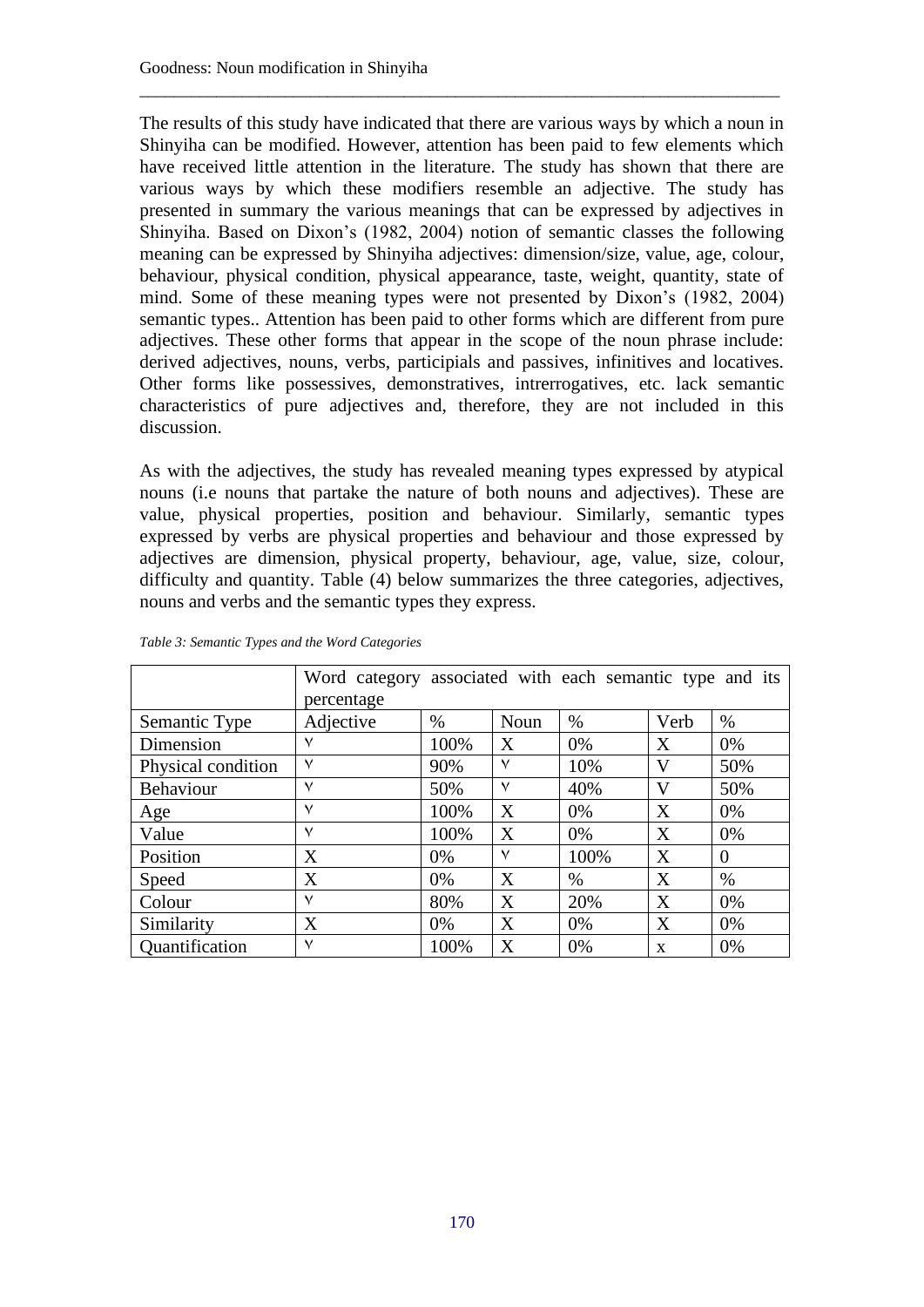The results of this study have indicated that there are various ways by which a noun in Shinyiha can be modified. However, attention has been paid to few elements which have received little attention in the literature. The study has shown that there are various ways by which these modifiers resemble an adjective. The study has presented in summary the various meanings that can be expressed by adjectives in Shinyiha. Based on Dixon's (1982, 2004) notion of semantic classes the following meaning can be expressed by Shinyiha adjectives: dimension/size, value, age, colour, behaviour, physical condition, physical appearance, taste, weight, quantity, state of mind. Some of these meaning types were not presented by Dixon's (1982, 2004) semantic types.. Attention has been paid to other forms which are different from pure adjectives. These other forms that appear in the scope of the noun phrase include: derived adjectives, nouns, verbs, participials and passives, infinitives and locatives. Other forms like possessives, demonstratives, intrerrogatives, etc. lack semantic characteristics of pure adjectives and, therefore, they are not included in this discussion.

\_\_\_\_\_\_\_\_\_\_\_\_\_\_\_\_\_\_\_\_\_\_\_\_\_\_\_\_\_\_\_\_\_\_\_\_\_\_\_\_\_\_\_\_\_\_\_\_\_\_\_\_\_\_\_\_\_\_\_\_\_\_\_\_\_\_\_\_\_\_\_\_\_\_\_

As with the adjectives, the study has revealed meaning types expressed by atypical nouns (i.e nouns that partake the nature of both nouns and adjectives). These are value, physical properties, position and behaviour. Similarly, semantic types expressed by verbs are physical properties and behaviour and those expressed by adjectives are dimension, physical property, behaviour, age, value, size, colour, difficulty and quantity. Table (4) below summarizes the three categories, adjectives, nouns and verbs and the semantic types they express.

|                    | Word category associated with each semantic type and its<br>percentage |       |              |      |              |          |
|--------------------|------------------------------------------------------------------------|-------|--------------|------|--------------|----------|
| Semantic Type      | Adjective                                                              | $\%$  | Noun         | $\%$ | Verb         | $\%$     |
| Dimension          | ٧                                                                      | 100%  | X            | 0%   | X            | 0%       |
| Physical condition | $\checkmark$                                                           | 90%   | $\checkmark$ | 10%  | V            | 50%      |
| <b>Behaviour</b>   | $\vee$                                                                 | 50%   | $\checkmark$ | 40%  | V            | 50%      |
| Age                | ٧                                                                      | 100%  | X            | 0%   | X            | 0%       |
| Value              | ٧                                                                      | 100%  | X            | 0%   | X            | 0%       |
| Position           | X                                                                      | $0\%$ | ٧            | 100% | X            | $\Omega$ |
| Speed              | X                                                                      | 0%    | X            | $\%$ | X            | $\%$     |
| Colour             | $\checkmark$                                                           | 80%   | X            | 20%  | X            | 0%       |
| Similarity         | X                                                                      | 0%    | X            | 0%   | X            | 0%       |
| Quantification     | ٧                                                                      | 100%  | X            | 0%   | $\mathbf{x}$ | 0%       |

*Table 3: Semantic Types and the Word Categories*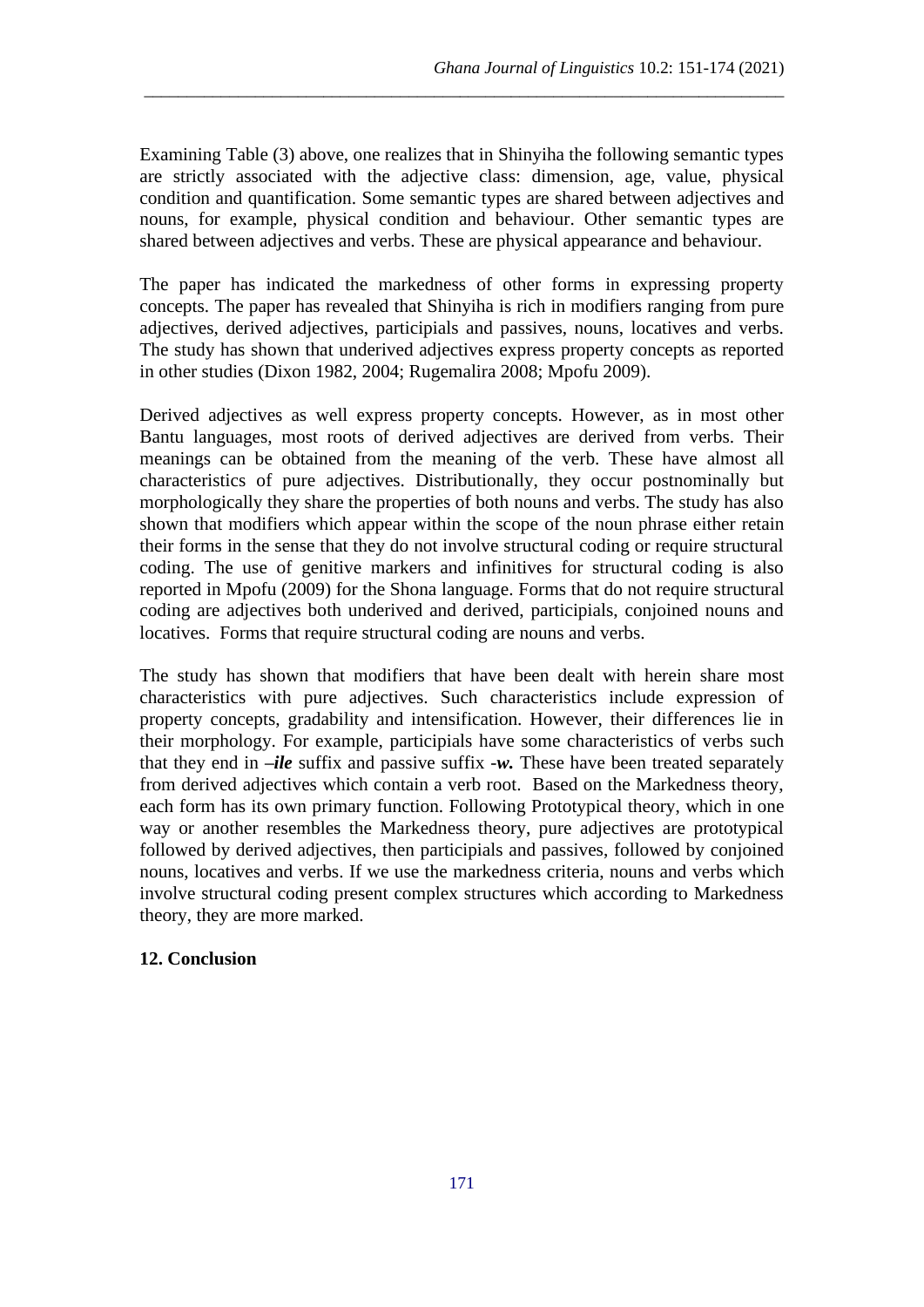Examining Table (3) above, one realizes that in Shinyiha the following semantic types are strictly associated with the adjective class: dimension, age, value, physical condition and quantification. Some semantic types are shared between adjectives and nouns, for example, physical condition and behaviour. Other semantic types are shared between adjectives and verbs. These are physical appearance and behaviour.

\_\_\_\_\_\_\_\_\_\_\_\_\_\_\_\_\_\_\_\_\_\_\_\_\_\_\_\_\_\_\_\_\_\_\_\_\_\_\_\_\_\_\_\_\_\_\_\_\_\_\_\_\_\_\_\_\_\_\_\_\_\_\_\_\_\_\_\_\_\_\_\_\_\_\_

The paper has indicated the markedness of other forms in expressing property concepts. The paper has revealed that Shinyiha is rich in modifiers ranging from pure adjectives, derived adjectives, participials and passives, nouns, locatives and verbs. The study has shown that underived adjectives express property concepts as reported in other studies (Dixon 1982, 2004; Rugemalira 2008; Mpofu 2009).

Derived adjectives as well express property concepts. However, as in most other Bantu languages, most roots of derived adjectives are derived from verbs. Their meanings can be obtained from the meaning of the verb. These have almost all characteristics of pure adjectives. Distributionally, they occur postnominally but morphologically they share the properties of both nouns and verbs. The study has also shown that modifiers which appear within the scope of the noun phrase either retain their forms in the sense that they do not involve structural coding or require structural coding. The use of genitive markers and infinitives for structural coding is also reported in Mpofu (2009) for the Shona language. Forms that do not require structural coding are adjectives both underived and derived, participials, conjoined nouns and locatives. Forms that require structural coding are nouns and verbs.

The study has shown that modifiers that have been dealt with herein share most characteristics with pure adjectives. Such characteristics include expression of property concepts, gradability and intensification. However, their differences lie in their morphology. For example, participials have some characteristics of verbs such that they end in *–ile* suffix and passive suffix -*w.* These have been treated separately from derived adjectives which contain a verb root. Based on the Markedness theory, each form has its own primary function. Following Prototypical theory, which in one way or another resembles the Markedness theory, pure adjectives are prototypical followed by derived adjectives, then participials and passives, followed by conjoined nouns, locatives and verbs. If we use the markedness criteria, nouns and verbs which involve structural coding present complex structures which according to Markedness theory, they are more marked.

### **12. Conclusion**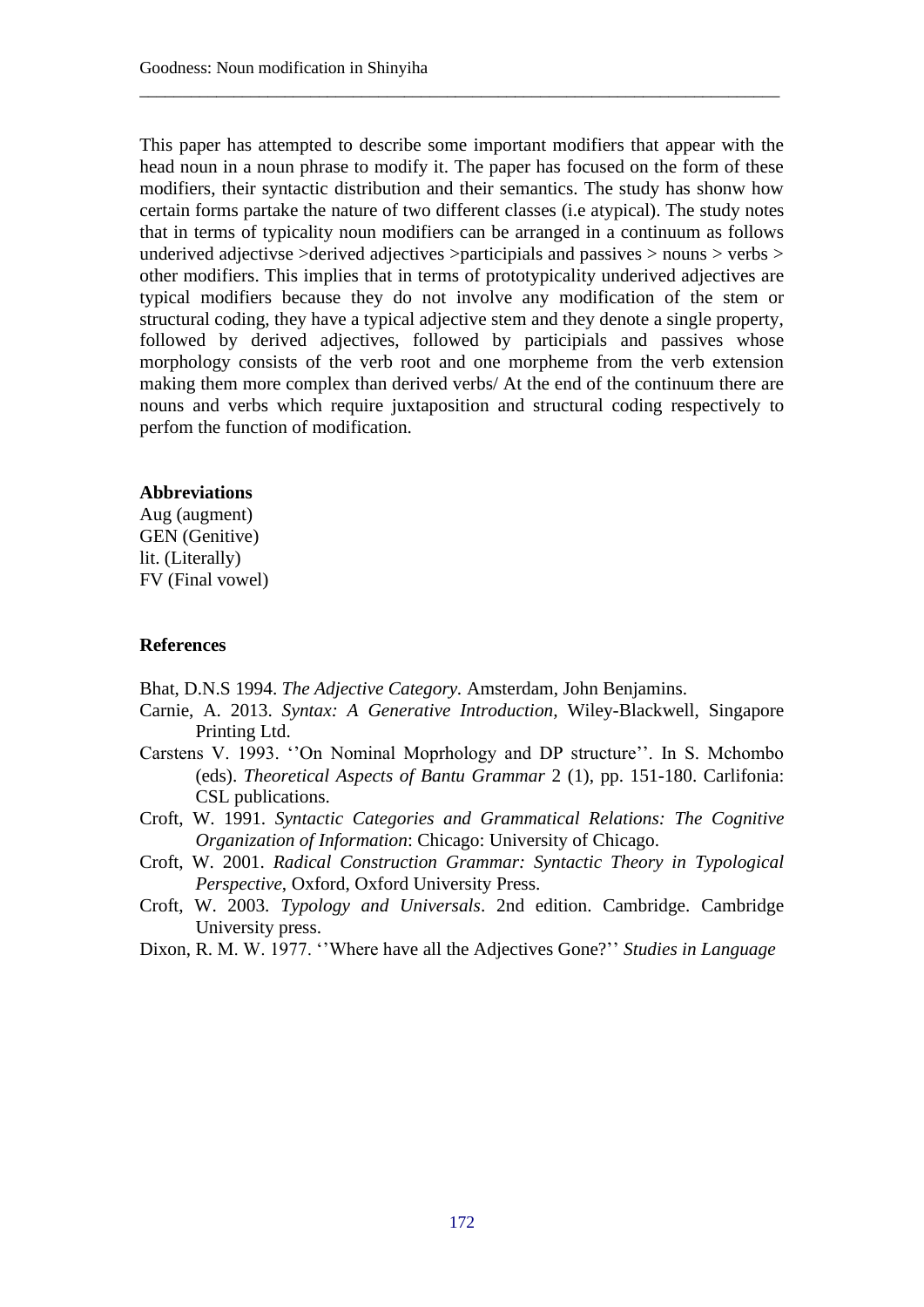This paper has attempted to describe some important modifiers that appear with the head noun in a noun phrase to modify it. The paper has focused on the form of these modifiers, their syntactic distribution and their semantics. The study has shonw how certain forms partake the nature of two different classes (i.e atypical). The study notes that in terms of typicality noun modifiers can be arranged in a continuum as follows underived adjectivse >derived adjectives >participials and passives > nouns > verbs > other modifiers. This implies that in terms of prototypicality underived adjectives are typical modifiers because they do not involve any modification of the stem or structural coding, they have a typical adjective stem and they denote a single property, followed by derived adjectives, followed by participials and passives whose morphology consists of the verb root and one morpheme from the verb extension making them more complex than derived verbs/ At the end of the continuum there are nouns and verbs which require juxtaposition and structural coding respectively to perfom the function of modification.

\_\_\_\_\_\_\_\_\_\_\_\_\_\_\_\_\_\_\_\_\_\_\_\_\_\_\_\_\_\_\_\_\_\_\_\_\_\_\_\_\_\_\_\_\_\_\_\_\_\_\_\_\_\_\_\_\_\_\_\_\_\_\_\_\_\_\_\_\_\_\_\_\_\_\_

#### **Abbreviations**

Aug (augment) GEN (Genitive) lit. (Literally) FV (Final vowel)

#### **References**

Bhat, D.N.S 1994. *The Adjective Category.* Amsterdam, John Benjamins.

- Carnie, A. 2013. *Syntax: A Generative Introduction,* Wiley-Blackwell, Singapore Printing Ltd.
- Carstens V. 1993. ''On Nominal Moprhology and DP structure''. In S. Mchombo (eds). *Theoretical Aspects of Bantu Grammar* 2 (1), pp. 151-180. Carlifonia: CSL publications.
- Croft, W. 1991. *Syntactic Categories and Grammatical Relations: The Cognitive Organization of Information*: Chicago: University of Chicago.
- Croft, W. 2001. *Radical Construction Grammar: Syntactic Theory in Typological Perspective*, Oxford, Oxford University Press.
- Croft, W. 2003. *Typology and Universals*. 2nd edition. Cambridge. Cambridge University press.
- Dixon, R. M. W. 1977. ''Where have all the Adjectives Gone?'' *Studies in Language*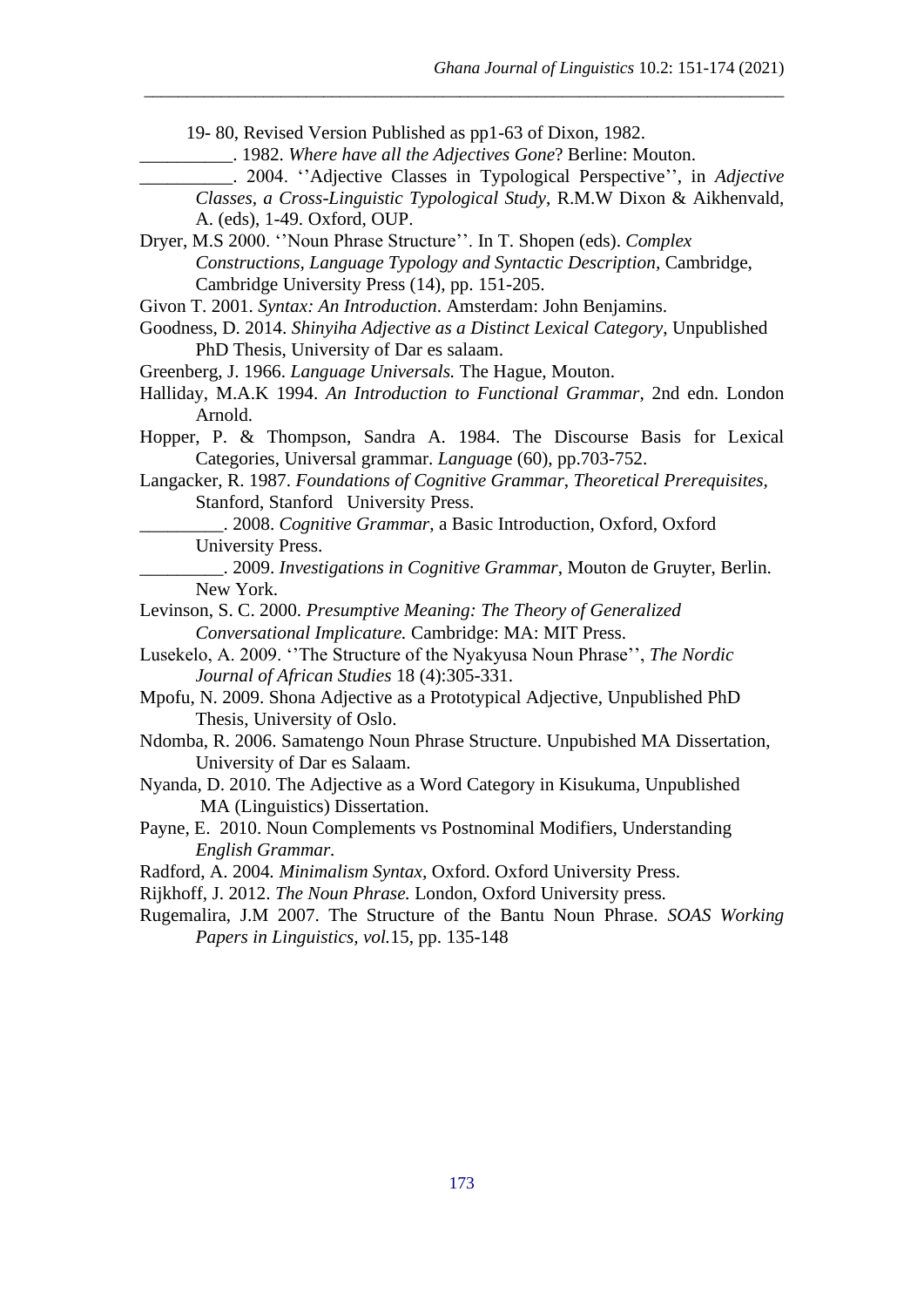19- 80, Revised Version Published as pp1-63 of Dixon, 1982.

\_\_\_\_\_\_\_\_\_\_. 1982. *Where have all the Adjectives Gone*? Berline: Mouton.

\_\_\_\_\_\_\_\_\_\_\_\_\_\_\_\_\_\_\_\_\_\_\_\_\_\_\_\_\_\_\_\_\_\_\_\_\_\_\_\_\_\_\_\_\_\_\_\_\_\_\_\_\_\_\_\_\_\_\_\_\_\_\_\_\_\_\_\_\_\_\_\_\_\_\_

\_\_\_\_\_\_\_\_\_\_. 2004. ''Adjective Classes in Typological Perspective'', in *Adjective Classes, a Cross-Linguistic Typological Study*, R.M.W Dixon & Aikhenvald, A. (eds), 1-49. Oxford, OUP.

- Dryer, M.S 2000. ''Noun Phrase Structure''. In T. Shopen (eds). *Complex Constructions, Language Typology and Syntactic Description,* Cambridge, Cambridge University Press (14), pp. 151-205.
- Givon T. 2001. *Syntax: An Introduction*. Amsterdam: John Benjamins.
- Goodness, D. 2014. *Shinyiha Adjective as a Distinct Lexical Category*, Unpublished PhD Thesis, University of Dar es salaam.
- Greenberg, J. 1966. *Language Universals.* The Hague, Mouton.
- Halliday, M.A.K 1994. *An Introduction to Functional Grammar*, 2nd edn. London Arnold.
- Hopper, P. & Thompson, Sandra A. 1984. The Discourse Basis for Lexical Categories, Universal grammar. *Languag*e (60), pp.703-752.
- Langacker, R. 1987. *Foundations of Cognitive Grammar*, *Theoretical Prerequisites,* Stanford, Stanford University Press.
	- \_\_\_\_\_\_\_\_\_. 2008. *Cognitive Grammar*, a Basic Introduction, Oxford, Oxford University Press.
	- \_\_\_\_\_\_\_\_\_. 2009. *Investigations in Cognitive Grammar*, Mouton de Gruyter, Berlin. New York.
- Levinson, S. C. 2000. *Presumptive Meaning: The Theory of Generalized Conversational Implicature.* Cambridge: MA: MIT Press.
- Lusekelo, A. 2009. ''The Structure of the Nyakyusa Noun Phrase'', *The Nordic Journal of African Studies* 18 (4):305-331.
- Mpofu, N. 2009. Shona Adjective as a Prototypical Adjective, Unpublished PhD Thesis, University of Oslo.
- Ndomba, R. 2006. Samatengo Noun Phrase Structure. Unpubished MA Dissertation, University of Dar es Salaam.
- Nyanda, D. 2010. The Adjective as a Word Category in Kisukuma, Unpublished MA (Linguistics) Dissertation.
- Payne, E. 2010. Noun Complements vs Postnominal Modifiers, Understanding *English Grammar.*
- Radford, A. 2004*. Minimalism Syntax,* Oxford. Oxford University Press.
- Rijkhoff, J. 2012. *The Noun Phrase.* London, Oxford University press*.*
- Rugemalira, J.M 2007. The Structure of the Bantu Noun Phrase. *SOAS Working Papers in Linguistics, vol.*15, pp. 135-148